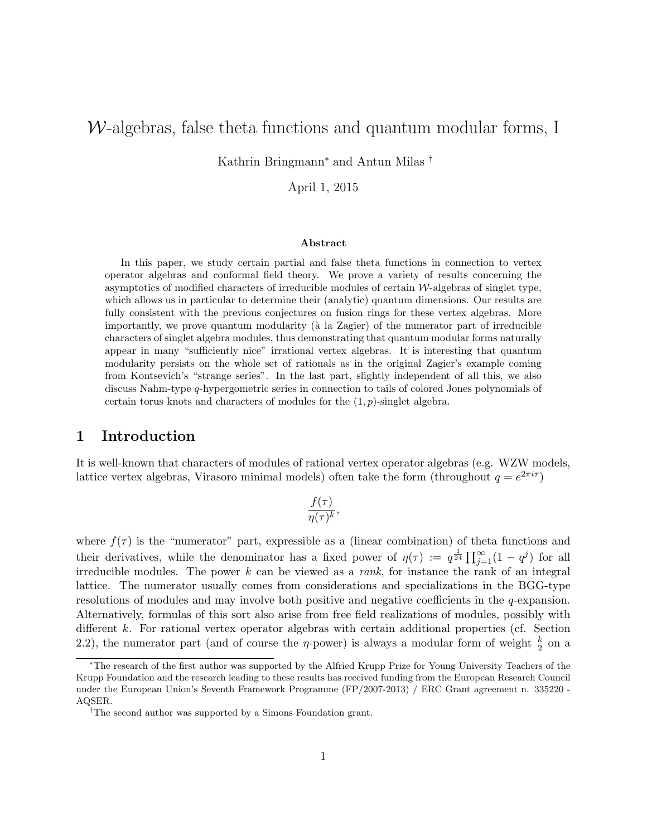# $W$ -algebras, false theta functions and quantum modular forms, I

Kathrin Bringmann<sup>∗</sup> and Antun Milas †

April 1, 2015

#### Abstract

In this paper, we study certain partial and false theta functions in connection to vertex operator algebras and conformal field theory. We prove a variety of results concerning the asymptotics of modified characters of irreducible modules of certain W-algebras of singlet type, which allows us in particular to determine their (analytic) quantum dimensions. Our results are fully consistent with the previous conjectures on fusion rings for these vertex algebras. More importantly, we prove quantum modularity ( $\hat{a}$  la Zagier) of the numerator part of irreducible characters of singlet algebra modules, thus demonstrating that quantum modular forms naturally appear in many "sufficiently nice" irrational vertex algebras. It is interesting that quantum modularity persists on the whole set of rationals as in the original Zagier's example coming from Kontsevich's "strange series". In the last part, slightly independent of all this, we also discuss Nahm-type q-hypergometric series in connection to tails of colored Jones polynomials of certain torus knots and characters of modules for the  $(1, p)$ -singlet algebra.

## 1 Introduction

It is well-known that characters of modules of rational vertex operator algebras (e.g. WZW models, lattice vertex algebras, Virasoro minimal models) often take the form (throughout  $q = e^{2\pi i \tau}$ )

$$
\frac{f(\tau)}{\eta(\tau)^k},
$$

where  $f(\tau)$  is the "numerator" part, expressible as a (linear combination) of theta functions and their derivatives, while the denominator has a fixed power of  $\eta(\tau) := q^{\frac{1}{24}} \prod_{j=1}^{\infty} (1 - q^j)$  for all irreducible modules. The power  $k$  can be viewed as a *rank*, for instance the rank of an integral lattice. The numerator usually comes from considerations and specializations in the BGG-type resolutions of modules and may involve both positive and negative coefficients in the q-expansion. Alternatively, formulas of this sort also arise from free field realizations of modules, possibly with different k. For rational vertex operator algebras with certain additional properties (cf. Section 2.2), the numerator part (and of course the  $\eta$ -power) is always a modular form of weight  $\frac{k}{2}$  on a

<sup>∗</sup>The research of the first author was supported by the Alfried Krupp Prize for Young University Teachers of the Krupp Foundation and the research leading to these results has received funding from the European Research Council under the European Union's Seventh Framework Programme (FP/2007-2013) / ERC Grant agreement n. 335220 - AQSER.

<sup>&</sup>lt;sup>†</sup>The second author was supported by a Simons Foundation grant.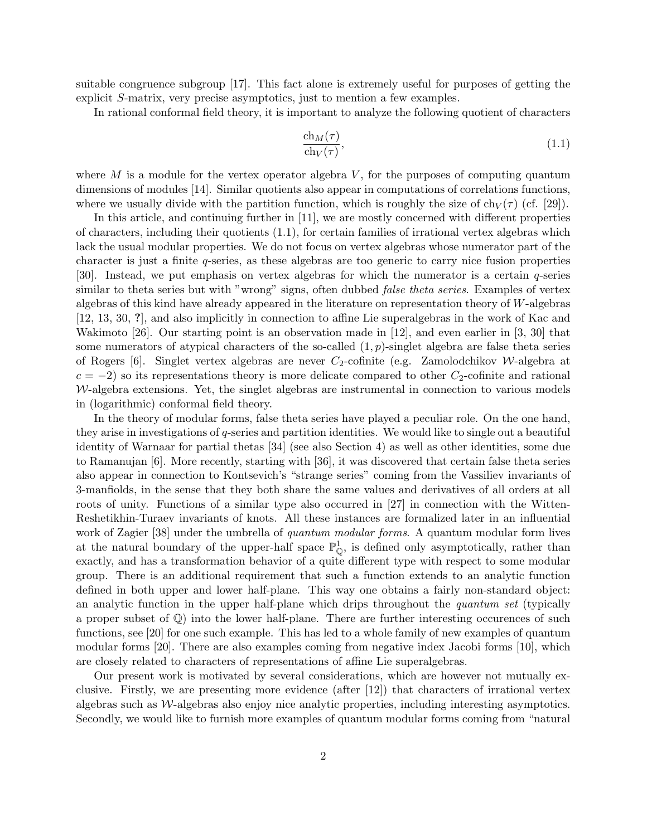suitable congruence subgroup [17]. This fact alone is extremely useful for purposes of getting the explicit S-matrix, very precise asymptotics, just to mention a few examples.

In rational conformal field theory, it is important to analyze the following quotient of characters

$$
\frac{\text{ch}_M(\tau)}{\text{ch}_V(\tau)},\tag{1.1}
$$

where M is a module for the vertex operator algebra  $V$ , for the purposes of computing quantum dimensions of modules [14]. Similar quotients also appear in computations of correlations functions, where we usually divide with the partition function, which is roughly the size of  $ch_V(\tau)$  (cf. [29]).

In this article, and continuing further in [11], we are mostly concerned with different properties of characters, including their quotients (1.1), for certain families of irrational vertex algebras which lack the usual modular properties. We do not focus on vertex algebras whose numerator part of the character is just a finite q-series, as these algebras are too generic to carry nice fusion properties [30]. Instead, we put emphasis on vertex algebras for which the numerator is a certain q-series similar to theta series but with "wrong" signs, often dubbed *false theta series*. Examples of vertex algebras of this kind have already appeared in the literature on representation theory of W-algebras [12, 13, 30, ?], and also implicitly in connection to affine Lie superalgebras in the work of Kac and Wakimoto [26]. Our starting point is an observation made in [12], and even earlier in [3, 30] that some numerators of atypical characters of the so-called  $(1, p)$ -singlet algebra are false theta series of Rogers [6]. Singlet vertex algebras are never  $C_2$ -cofinite (e.g. Zamolodchikov W-algebra at  $c = -2$ ) so its representations theory is more delicate compared to other  $C_2$ -cofinite and rational  $W$ -algebra extensions. Yet, the singlet algebras are instrumental in connection to various models in (logarithmic) conformal field theory.

In the theory of modular forms, false theta series have played a peculiar role. On the one hand, they arise in investigations of q-series and partition identities. We would like to single out a beautiful identity of Warnaar for partial thetas [34] (see also Section 4) as well as other identities, some due to Ramanujan [6]. More recently, starting with [36], it was discovered that certain false theta series also appear in connection to Kontsevich's "strange series" coming from the Vassiliev invariants of 3-manfiolds, in the sense that they both share the same values and derivatives of all orders at all roots of unity. Functions of a similar type also occurred in [27] in connection with the Witten-Reshetikhin-Turaev invariants of knots. All these instances are formalized later in an influential work of Zagier [38] under the umbrella of *quantum modular forms*. A quantum modular form lives at the natural boundary of the upper-half space  $\mathbb{P}^1_{\mathbb{Q}}$ , is defined only asymptotically, rather than exactly, and has a transformation behavior of a quite different type with respect to some modular group. There is an additional requirement that such a function extends to an analytic function defined in both upper and lower half-plane. This way one obtains a fairly non-standard object: an analytic function in the upper half-plane which drips throughout the *quantum set* (typically a proper subset of Q) into the lower half-plane. There are further interesting occurences of such functions, see [20] for one such example. This has led to a whole family of new examples of quantum modular forms [20]. There are also examples coming from negative index Jacobi forms [10], which are closely related to characters of representations of affine Lie superalgebras.

Our present work is motivated by several considerations, which are however not mutually exclusive. Firstly, we are presenting more evidence (after [12]) that characters of irrational vertex algebras such as  $W$ -algebras also enjoy nice analytic properties, including interesting asymptotics. Secondly, we would like to furnish more examples of quantum modular forms coming from "natural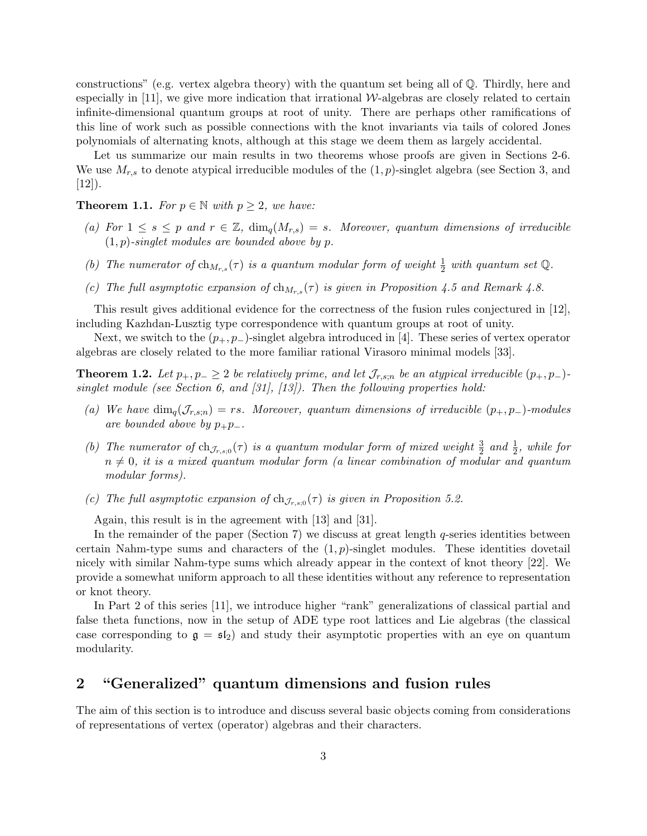constructions" (e.g. vertex algebra theory) with the quantum set being all of Q. Thirdly, here and especially in  $[11]$ , we give more indication that irrational W-algebras are closely related to certain infinite-dimensional quantum groups at root of unity. There are perhaps other ramifications of this line of work such as possible connections with the knot invariants via tails of colored Jones polynomials of alternating knots, although at this stage we deem them as largely accidental.

Let us summarize our main results in two theorems whose proofs are given in Sections 2-6. We use  $M_{r,s}$  to denote atypical irreducible modules of the  $(1, p)$ -singlet algebra (see Section 3, and  $[12]$ ).

## **Theorem 1.1.** For  $p \in \mathbb{N}$  with  $p \geq 2$ , we have:

- (a) For  $1 \leq s \leq p$  and  $r \in \mathbb{Z}$ ,  $\dim_q(M_{r,s}) = s$ . Moreover, quantum dimensions of irreducible  $(1, p)$ -singlet modules are bounded above by p.
- (b) The numerator of  $\ch_{M_{r,s}}(\tau)$  is a quantum modular form of weight  $\frac{1}{2}$  with quantum set Q.
- (c) The full asymptotic expansion of  $\ch_{M_{r,s}}(\tau)$  is given in Proposition 4.5 and Remark 4.8.

This result gives additional evidence for the correctness of the fusion rules conjectured in [12], including Kazhdan-Lusztig type correspondence with quantum groups at root of unity.

Next, we switch to the  $(p_+, p_-)$ -singlet algebra introduced in [4]. These series of vertex operator algebras are closely related to the more familiar rational Virasoro minimal models [33].

**Theorem 1.2.** Let  $p_+, p_- \geq 2$  be relatively prime, and let  $\mathcal{J}_{r,s,n}$  be an atypical irreducible  $(p_+, p_-)$ singlet module (see Section 6, and [31], [13]). Then the following properties hold:

- (a) We have  $\dim_q(\mathcal{J}_{r,s,n}) = rs$ . Moreover, quantum dimensions of irreducible  $(p_+, p_-)$ -modules are bounded above by  $p_+p_-$ .
- (b) The numerator of  $ch_{\mathcal{J}_{r,s;0}}(\tau)$  is a quantum modular form of mixed weight  $\frac{3}{2}$  and  $\frac{1}{2}$ , while for  $n \neq 0$ , it is a mixed quantum modular form (a linear combination of modular and quantum modular forms).
- (c) The full asymptotic expansion of  $ch_{\mathcal{J}_{r,s;0}}(\tau)$  is given in Proposition 5.2.

Again, this result is in the agreement with [13] and [31].

In the remainder of the paper (Section 7) we discuss at great length  $q$ -series identities between certain Nahm-type sums and characters of the  $(1, p)$ -singlet modules. These identities dovetail nicely with similar Nahm-type sums which already appear in the context of knot theory [22]. We provide a somewhat uniform approach to all these identities without any reference to representation or knot theory.

In Part 2 of this series [11], we introduce higher "rank" generalizations of classical partial and false theta functions, now in the setup of ADE type root lattices and Lie algebras (the classical case corresponding to  $g = f_2$  and study their asymptotic properties with an eye on quantum modularity.

## 2 "Generalized" quantum dimensions and fusion rules

The aim of this section is to introduce and discuss several basic objects coming from considerations of representations of vertex (operator) algebras and their characters.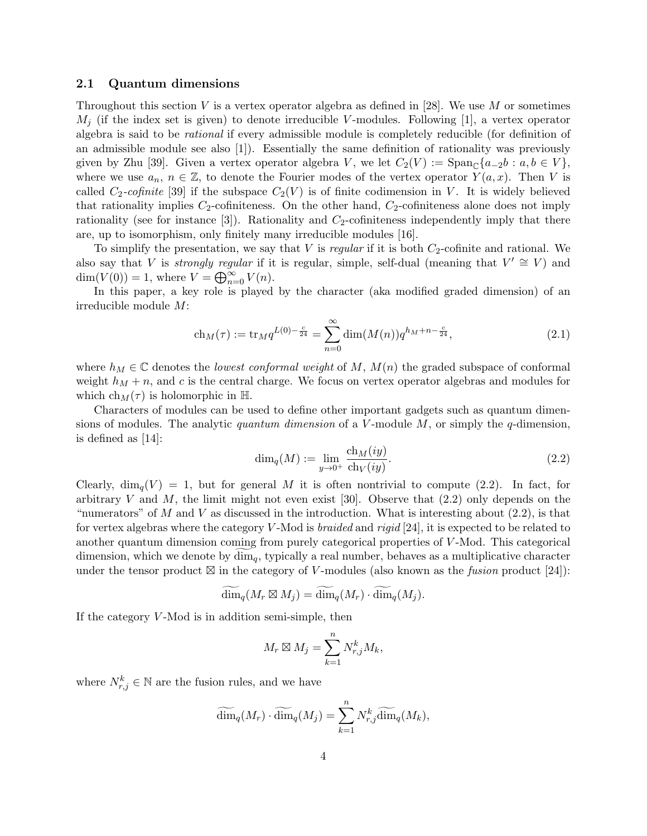#### 2.1 Quantum dimensions

Throughout this section V is a vertex operator algebra as defined in [28]. We use M or sometimes  $M_i$  (if the index set is given) to denote irreducible V-modules. Following [1], a vertex operator algebra is said to be rational if every admissible module is completely reducible (for definition of an admissible module see also [1]). Essentially the same definition of rationality was previously given by Zhu [39]. Given a vertex operator algebra V, we let  $C_2(V) := \text{Span}_{\mathbb{C}}\{a_{-2}b : a, b \in V\}$ , where we use  $a_n, n \in \mathbb{Z}$ , to denote the Fourier modes of the vertex operator  $Y(a, x)$ . Then V is called  $C_2$ -cofinite [39] if the subspace  $C_2(V)$  is of finite codimension in V. It is widely believed that rationality implies  $C_2$ -cofiniteness. On the other hand,  $C_2$ -cofiniteness alone does not imply rationality (see for instance  $[3]$ ). Rationality and  $C_2$ -cofiniteness independently imply that there are, up to isomorphism, only finitely many irreducible modules [16].

To simplify the presentation, we say that V is regular if it is both  $C_2$ -cofinite and rational. We also say that V is *strongly regular* if it is regular, simple, self-dual (meaning that  $V' \cong V$ ) and  $\dim(V(0)) = 1$ , where  $V = \bigoplus_{n=0}^{\infty} V(n)$ .

In this paper, a key role is played by the character (aka modified graded dimension) of an irreducible module M:

$$
ch_M(\tau) := \text{tr}_M q^{L(0) - \frac{c}{24}} = \sum_{n=0}^{\infty} \dim(M(n)) q^{h_M + n - \frac{c}{24}}, \qquad (2.1)
$$

where  $h_M \in \mathbb{C}$  denotes the lowest conformal weight of M,  $M(n)$  the graded subspace of conformal weight  $h_M + n$ , and c is the central charge. We focus on vertex operator algebras and modules for which  $ch_M(\tau)$  is holomorphic in H.

Characters of modules can be used to define other important gadgets such as quantum dimensions of modules. The analytic *quantum dimension* of a V-module  $M$ , or simply the q-dimension. is defined as [14]:

$$
\dim_q(M) := \lim_{y \to 0^+} \frac{\operatorname{ch}_M(iy)}{\operatorname{ch}_V(iy)}.\tag{2.2}
$$

Clearly,  $\dim_q(V) = 1$ , but for general M it is often nontrivial to compute (2.2). In fact, for arbitrary  $V$  and  $M$ , the limit might not even exist [30]. Observe that  $(2.2)$  only depends on the "numerators" of M and V as discussed in the introduction. What is interesting about  $(2.2)$ , is that for vertex algebras where the category  $V$ -Mod is *braided* and *rigid* [24], it is expected to be related to another quantum dimension coming from purely categorical properties of V -Mod. This categorical dimension, which we denote by  $\dim_q$ , typically a real number, behaves as a multiplicative character under the tensor product  $\boxtimes$  in the category of V-modules (also known as the *fusion* product [24]):

$$
\widetilde{\dim}_q(M_r \boxtimes M_j) = \widetilde{\dim}_q(M_r) \cdot \widetilde{\dim}_q(M_j).
$$

If the category  $V$ -Mod is in addition semi-simple, then

$$
M_r \boxtimes M_j = \sum_{k=1}^n N_{r,j}^k M_k,
$$

where  $N_{r,j}^k \in \mathbb{N}$  are the fusion rules, and we have

$$
\widetilde{\dim}_q(M_r) \cdot \widetilde{\dim}_q(M_j) = \sum_{k=1}^n N_{r,j}^k \widetilde{\dim}_q(M_k),
$$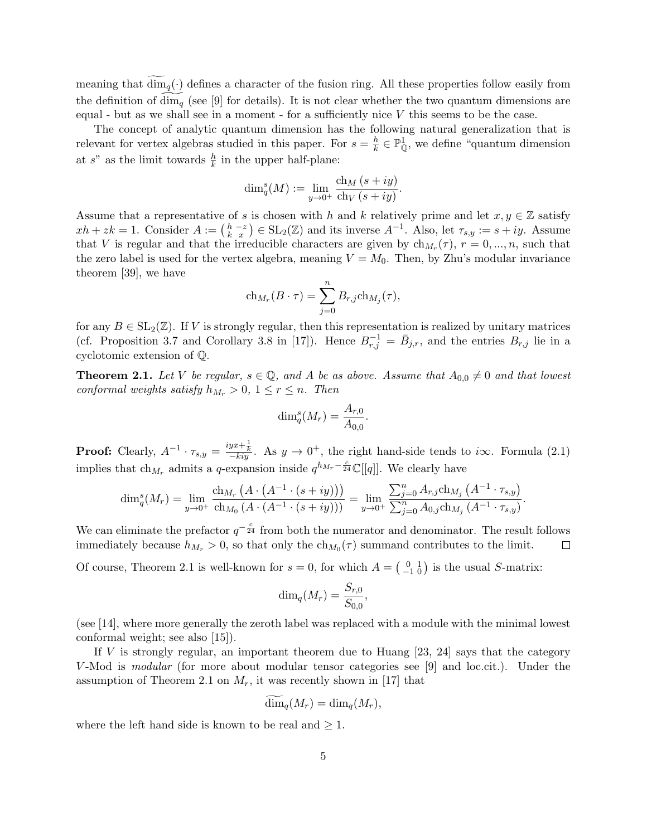meaning that  $\dim_q(\cdot)$  defines a character of the fusion ring. All these properties follow easily from the definition of dim<sub>q</sub> (see [9] for details). It is not clear whether the two quantum dimensions are equal - but as we shall see in a moment - for a sufficiently nice  $V$  this seems to be the case.

The concept of analytic quantum dimension has the following natural generalization that is relevant for vertex algebras studied in this paper. For  $s = \frac{h}{k}$  $\frac{h}{k} \in \mathbb{P}_{\mathbb{Q}}^1$ , we define "quantum dimension at s" as the limit towards  $\frac{h}{k}$  in the upper half-plane:

$$
\dim_q^s(M) := \lim_{y \to 0^+} \frac{\operatorname{ch}_M(s+iy)}{\operatorname{ch}_V(s+iy)}.
$$

Assume that a representative of s is chosen with h and k relatively prime and let  $x, y \in \mathbb{Z}$  satisfy  $xh + zk = 1$ . Consider  $A := \begin{pmatrix} h & -z \\ k & x \end{pmatrix} \in SL_2(\mathbb{Z})$  and its inverse  $A^{-1}$ . Also, let  $\tau_{s,y} := s + iy$ . Assume that V is regular and that the irreducible characters are given by  $\ch_{M_r}(\tau)$ ,  $r = 0, ..., n$ , such that the zero label is used for the vertex algebra, meaning  $V = M_0$ . Then, by Zhu's modular invariance theorem [39], we have

$$
ch_{M_r}(B \cdot \tau) = \sum_{j=0}^n B_{r,j} ch_{M_j}(\tau),
$$

for any  $B \in SL_2(\mathbb{Z})$ . If V is strongly regular, then this representation is realized by unitary matrices (cf. Proposition 3.7 and Corollary 3.8 in [17]). Hence  $B_{r,j}^{-1} = \bar{B}_{j,r}$ , and the entries  $B_{r,j}$  lie in a cyclotomic extension of Q.

**Theorem 2.1.** Let V be regular,  $s \in \mathbb{Q}$ , and A be as above. Assume that  $A_{0,0} \neq 0$  and that lowest conformal weights satisfy  $h_{M_r} > 0$ ,  $1 \leq r \leq n$ . Then

$$
\dim_q^s(M_r) = \frac{A_{r,0}}{A_{0,0}}.
$$

**Proof:** Clearly,  $A^{-1} \cdot \tau_{s,y} = \frac{iyx+\frac{1}{k}}{-kiy}$ . As  $y \to 0^+$ , the right hand-side tends to i $\infty$ . Formula (2.1) implies that  $\ch_{M_r}$  admits a q-expansion inside  $q^{h_{M_r}-\frac{c}{24}}\mathbb{C}[[q]]$ . We clearly have

$$
\dim_q^s(M_r) = \lim_{y \to 0^+} \frac{\text{ch}_{M_r} \left( A \cdot \left( A^{-1} \cdot (s+iy) \right) \right)}{\text{ch}_{M_0} \left( A \cdot \left( A^{-1} \cdot (s+iy) \right) \right)} = \lim_{y \to 0^+} \frac{\sum_{j=0}^n A_{r,j} \text{ch}_{M_j} \left( A^{-1} \cdot \tau_{s,y} \right)}{\sum_{j=0}^n A_{0,j} \text{ch}_{M_j} \left( A^{-1} \cdot \tau_{s,y} \right)}
$$

.

We can eliminate the prefactor  $q^{-\frac{c}{24}}$  from both the numerator and denominator. The result follows immediately because  $h_{M_r} > 0$ , so that only the  $\ch_{M_0}(\tau)$  summand contributes to the limit.  $\Box$ 

Of course, Theorem 2.1 is well-known for  $s = 0$ , for which  $A = \begin{pmatrix} 0 & 1 \\ -1 & 0 \end{pmatrix}$  is the usual S-matrix:

$$
\dim_q(M_r) = \frac{S_{r,0}}{S_{0,0}},
$$

(see [14], where more generally the zeroth label was replaced with a module with the minimal lowest conformal weight; see also [15]).

If V is strongly regular, an important theorem due to Huang  $[23, 24]$  says that the category V-Mod is *modular* (for more about modular tensor categories see [9] and loc.cit.). Under the assumption of Theorem 2.1 on  $M_r$ , it was recently shown in [17] that

$$
\dim_q(M_r) = \dim_q(M_r),
$$

where the left hand side is known to be real and  $\geq 1$ .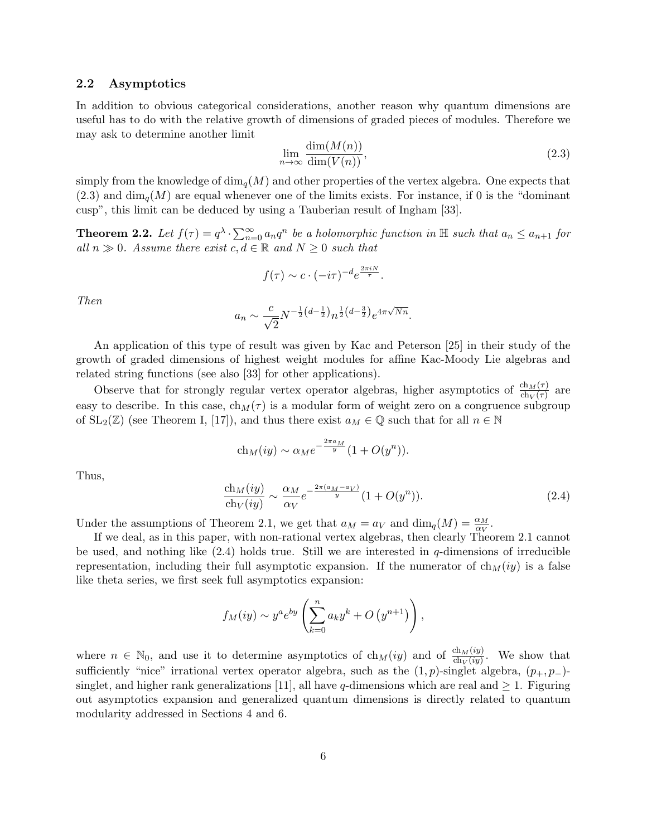### 2.2 Asymptotics

In addition to obvious categorical considerations, another reason why quantum dimensions are useful has to do with the relative growth of dimensions of graded pieces of modules. Therefore we may ask to determine another limit

$$
\lim_{n \to \infty} \frac{\dim(M(n))}{\dim(V(n))},\tag{2.3}
$$

simply from the knowledge of  $\dim_q(M)$  and other properties of the vertex algebra. One expects that  $(2.3)$  and  $\dim_{\mathfrak{g}}(M)$  are equal whenever one of the limits exists. For instance, if 0 is the "dominant" cusp", this limit can be deduced by using a Tauberian result of Ingham [33].

**Theorem 2.2.** Let  $f(\tau) = q^{\lambda} \cdot \sum_{n=0}^{\infty} a_n q^n$  be a holomorphic function in  $\mathbb{H}$  such that  $a_n \le a_{n+1}$  for all  $n \gg 0$ . Assume there exist  $c, d \in \mathbb{R}$  and  $N \geq 0$  such that

$$
f(\tau) \sim c \cdot (-i\tau)^{-d} e^{\frac{2\pi i N}{\tau}}.
$$

Then

$$
a_n \sim \frac{c}{\sqrt{2}} N^{-\frac{1}{2}\left(d-\frac{1}{2}\right)} n^{\frac{1}{2}\left(d-\frac{3}{2}\right)} e^{4\pi\sqrt{Nn}}.
$$

An application of this type of result was given by Kac and Peterson [25] in their study of the growth of graded dimensions of highest weight modules for affine Kac-Moody Lie algebras and related string functions (see also [33] for other applications).

Observe that for strongly regular vertex operator algebras, higher asymptotics of  $\frac{ch_M(\tau)}{ch_V(\tau)}$  are easy to describe. In this case,  $ch_M(\tau)$  is a modular form of weight zero on a congruence subgroup of  $SL_2(\mathbb{Z})$  (see Theorem I, [17]), and thus there exist  $a_M \in \mathbb{Q}$  such that for all  $n \in \mathbb{N}$ 

$$
ch_M(iy) \sim \alpha_M e^{-\frac{2\pi a_M}{y}} (1 + O(y^n)).
$$

Thus,

$$
\frac{\text{ch}_M(iy)}{\text{ch}_V(iy)} \sim \frac{\alpha_M}{\alpha_V} e^{-\frac{2\pi(a_M - a_V)}{y}} (1 + O(y^n)).
$$
\n(2.4)

Under the assumptions of Theorem 2.1, we get that  $a_M = a_V$  and  $\dim_q(M) = \frac{\alpha_M}{\alpha_V}$ .

If we deal, as in this paper, with non-rational vertex algebras, then clearly Theorem 2.1 cannot be used, and nothing like  $(2.4)$  holds true. Still we are interested in q-dimensions of irreducible representation, including their full asymptotic expansion. If the numerator of  $ch_M(iy)$  is a false like theta series, we first seek full asymptotics expansion:

$$
f_M(iy) \sim y^a e^{by} \left( \sum_{k=0}^n a_k y^k + O(y^{n+1}) \right),
$$

where  $n \in \mathbb{N}_0$ , and use it to determine asymptotics of  $ch_M(iy)$  and of  $\frac{ch_M(iy)}{ch_V(iy)}$ . We show that sufficiently "nice" irrational vertex operator algebra, such as the  $(1, p)$ -singlet algebra,  $(p_+, p_-)$ singlet, and higher rank generalizations [11], all have q-dimensions which are real and  $\geq 1$ . Figuring out asymptotics expansion and generalized quantum dimensions is directly related to quantum modularity addressed in Sections 4 and 6.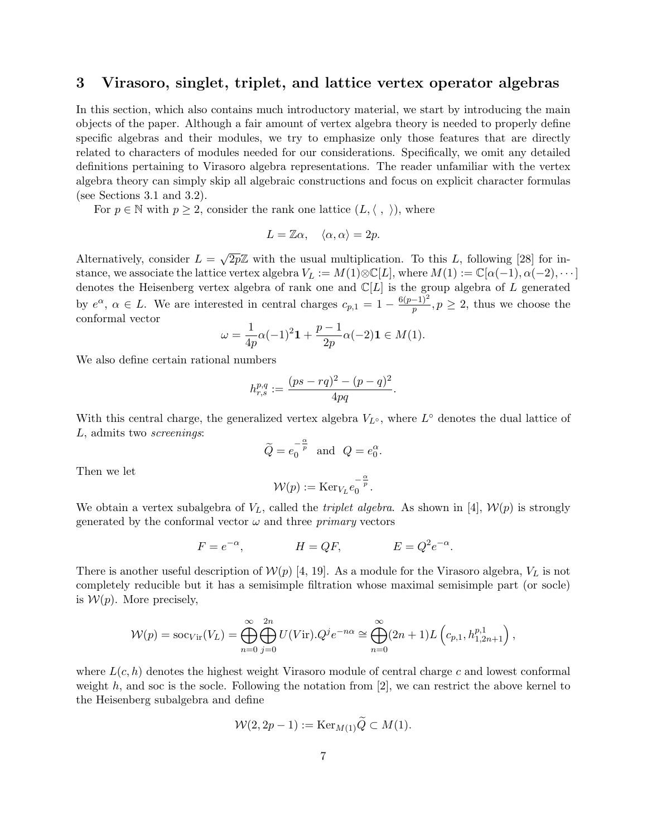## 3 Virasoro, singlet, triplet, and lattice vertex operator algebras

In this section, which also contains much introductory material, we start by introducing the main objects of the paper. Although a fair amount of vertex algebra theory is needed to properly define specific algebras and their modules, we try to emphasize only those features that are directly related to characters of modules needed for our considerations. Specifically, we omit any detailed definitions pertaining to Virasoro algebra representations. The reader unfamiliar with the vertex algebra theory can simply skip all algebraic constructions and focus on explicit character formulas (see Sections 3.1 and 3.2).

For  $p \in \mathbb{N}$  with  $p \geq 2$ , consider the rank one lattice  $(L, \langle , \rangle)$ , where

$$
L = \mathbb{Z}\alpha, \quad \langle \alpha, \alpha \rangle = 2p.
$$

Alternatively, consider  $L =$  $\sqrt{2p}\mathbb{Z}$  with the usual multiplication. To this L, following [28] for instance, we associate the lattice vertex algebra  $V_L := M(1) \otimes \mathbb{C}[L]$ , where  $M(1) := \mathbb{C}[\alpha(-1), \alpha(-2), \cdots]$ denotes the Heisenberg vertex algebra of rank one and  $\mathbb{C}[L]$  is the group algebra of L generated by  $e^{\alpha}$ ,  $\alpha \in L$ . We are interested in central charges  $c_{p,1} = 1 - \frac{6(p-1)^2}{p}$  $\frac{-1}{p}$ ,  $p \geq 2$ , thus we choose the conformal vector

$$
\omega=\frac{1}{4p}\alpha(-1)^2\mathbf{1}+\frac{p-1}{2p}\alpha(-2)\mathbf{1}\in M(1).
$$

We also define certain rational numbers

$$
h_{r,s}^{p,q} := \frac{(ps - rq)^2 - (p - q)^2}{4pq}.
$$

With this central charge, the generalized vertex algebra  $V_{L^{\circ}}$ , where  $L^{\circ}$  denotes the dual lattice of L, admits two screenings:

$$
\widetilde{Q} = e_0^{-\frac{\alpha}{p}} \quad \text{and} \quad Q = e_0^{\alpha}.
$$

Then we let

$$
\mathcal{W}(p) := \mathrm{Ker}_{V_L} e_0^{-\frac{\alpha}{p}}.
$$

We obtain a vertex subalgebra of  $V_L$ , called the *triplet algebra*. As shown in [4],  $\mathcal{W}(p)$  is strongly generated by the conformal vector  $\omega$  and three *primary* vectors

$$
F = e^{-\alpha}, \qquad H = QF, \qquad E = Q^2 e^{-\alpha}.
$$

There is another useful description of  $W(p)$  [4, 19]. As a module for the Virasoro algebra,  $V<sub>L</sub>$  is not completely reducible but it has a semisimple filtration whose maximal semisimple part (or socle) is  $W(p)$ . More precisely,

$$
\mathcal{W}(p) = \mathrm{soc}_{Vir}(V_L) = \bigoplus_{n=0}^{\infty} \bigoplus_{j=0}^{2n} U(V \mathrm{ir}).Q^j e^{-n\alpha} \cong \bigoplus_{n=0}^{\infty} (2n+1) L\left(c_{p,1}, h_{1,2n+1}^{p,1}\right),
$$

where  $L(c, h)$  denotes the highest weight Virasoro module of central charge c and lowest conformal weight  $h$ , and soc is the socle. Following the notation from  $[2]$ , we can restrict the above kernel to the Heisenberg subalgebra and define

$$
\mathcal{W}(2, 2p - 1) := \operatorname{Ker}_{M(1)} \widetilde{Q} \subset M(1).
$$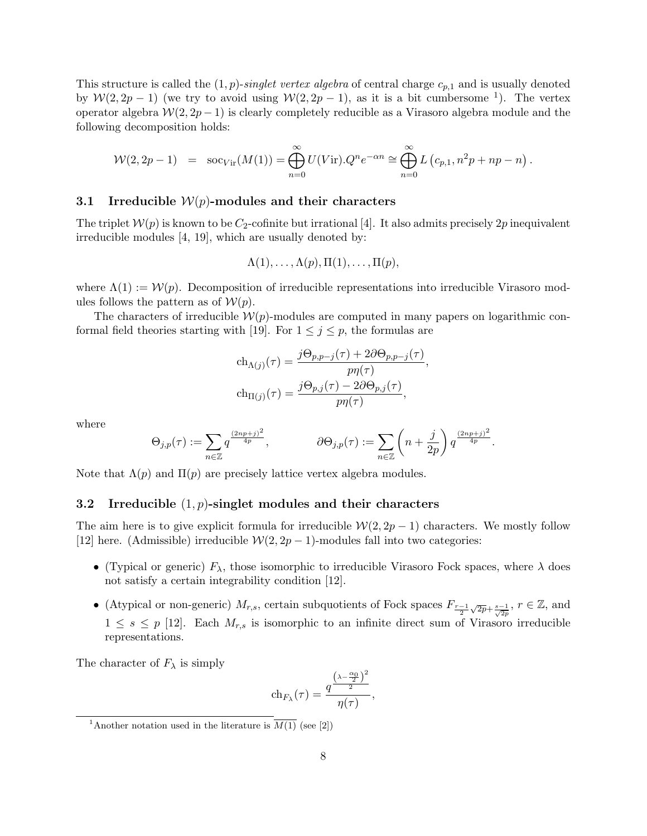This structure is called the  $(1, p)$ -singlet vertex algebra of central charge  $c_{p,1}$  and is usually denoted by  $\mathcal{W}(2, 2p-1)$  (we try to avoid using  $\mathcal{W}(2, 2p-1)$ , as it is a bit cumbersome <sup>1</sup>). The vertex operator algebra  $W(2, 2p-1)$  is clearly completely reducible as a Virasoro algebra module and the following decomposition holds:

$$
\mathcal{W}(2,2p-1) = \operatorname{soc}_{Vir}(M(1)) = \bigoplus_{n=0}^{\infty} U(Vir).Q^n e^{-\alpha n} \cong \bigoplus_{n=0}^{\infty} L\left(c_{p,1}, n^2p + np - n\right).
$$

## 3.1 Irreducible  $W(p)$ -modules and their characters

The triplet  $\mathcal{W}(p)$  is known to be  $C_2$ -cofinite but irrational [4]. It also admits precisely  $2p$  inequivalent irreducible modules [4, 19], which are usually denoted by:

$$
\Lambda(1),\ldots,\Lambda(p),\Pi(1),\ldots,\Pi(p),
$$

where  $\Lambda(1) := \mathcal{W}(p)$ . Decomposition of irreducible representations into irreducible Virasoro modules follows the pattern as of  $W(p)$ .

The characters of irreducible  $\mathcal{W}(p)$ -modules are computed in many papers on logarithmic conformal field theories starting with [19]. For  $1 \leq j \leq p$ , the formulas are

$$
\begin{aligned} \operatorname{ch}_{\Lambda(j)}(\tau) &= \frac{j\Theta_{p,p-j}(\tau) + 2\partial\Theta_{p,p-j}(\tau)}{p\eta(\tau)},\\ \operatorname{ch}_{\Pi(j)}(\tau) &= \frac{j\Theta_{p,j}(\tau) - 2\partial\Theta_{p,j}(\tau)}{p\eta(\tau)}, \end{aligned}
$$

where

$$
\Theta_{j,p}(\tau) := \sum_{n \in \mathbb{Z}} q^{\frac{(2np+j)^2}{4p}}, \qquad \partial \Theta_{j,p}(\tau) := \sum_{n \in \mathbb{Z}} \left( n + \frac{j}{2p} \right) q^{\frac{(2np+j)^2}{4p}}.
$$

Note that  $\Lambda(p)$  and  $\Pi(p)$  are precisely lattice vertex algebra modules.

#### 3.2 Irreducible  $(1, p)$ -singlet modules and their characters

The aim here is to give explicit formula for irreducible  $\mathcal{W}(2, 2p-1)$  characters. We mostly follow [12] here. (Admissible) irreducible  $W(2, 2p - 1)$ -modules fall into two categories:

- (Typical or generic)  $F_{\lambda}$ , those isomorphic to irreducible Virasoro Fock spaces, where  $\lambda$  does not satisfy a certain integrability condition [12].
- (Atypical or non-generic)  $M_{r,s}$ , certain subquotients of Fock spaces  $F_{\frac{r-1}{2}}$  $\sqrt{2p}+\frac{s-1}{\sqrt{2p}}, r \in \mathbb{Z}$ , and  $1 \leq s \leq p$  [12]. Each  $M_{r,s}$  is isomorphic to an infinite direct sum of Virasoro irreducible representations.

The character of  $F_{\lambda}$  is simply

$$
\mathrm{ch}_{F_{\lambda}}(\tau)=\frac{q^{\frac{\left(\lambda-\frac{\alpha_0}{2}\right)^2}{2}}}{\eta(\tau)},
$$

<sup>&</sup>lt;sup>1</sup>Another notation used in the literature is  $\overline{M(1)}$  (see [2])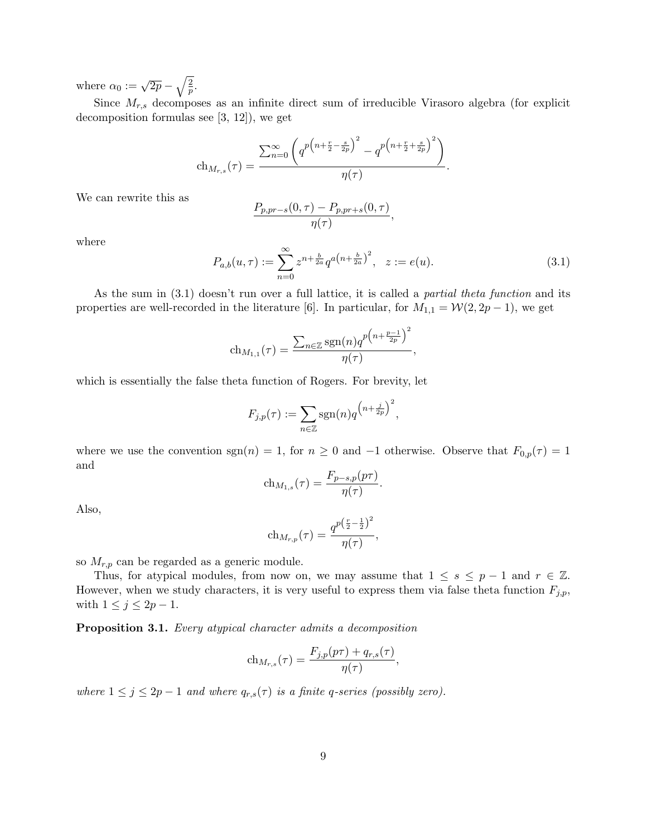where  $\alpha_0 := \sqrt{2p} - \sqrt{\frac{2}{p}}$ .

Since  $M_{r,s}$  decomposes as an infinite direct sum of irreducible Virasoro algebra (for explicit decomposition formulas see [3, 12]), we get

$$
\text{ch}_{M_{r,s}}(\tau) = \frac{\sum_{n=0}^{\infty} \left( q^{p\left(n+\frac{r}{2}-\frac{s}{2p}\right)^2} - q^{p\left(n+\frac{r}{2}+\frac{s}{2p}\right)^2} \right)}{\eta(\tau)}.
$$

We can rewrite this as

$$
\frac{P_{p,pr-s}(0,\tau)-P_{p,pr+s}(0,\tau)}{\eta(\tau)},
$$

where

$$
P_{a,b}(u,\tau) := \sum_{n=0}^{\infty} z^{n + \frac{b}{2a}} q^{a(n + \frac{b}{2a})^2}, \quad z := e(u).
$$
 (3.1)

,

As the sum in (3.1) doesn't run over a full lattice, it is called a partial theta function and its properties are well-recorded in the literature [6]. In particular, for  $M_{1,1} = \mathcal{W}(2, 2p - 1)$ , we get

$$
\mathrm{ch}_{M_{1,1}}(\tau)=\frac{\sum_{n\in\mathbb{Z}}\mathrm{sgn}(n)q^{p\left(n+\frac{p-1}{2p}\right)^2}}{\eta(\tau)}
$$

which is essentially the false theta function of Rogers. For brevity, let

$$
F_{j,p}(\tau) := \sum_{n \in \mathbb{Z}} \text{sgn}(n) q^{\left(n + \frac{j}{2p}\right)^2},
$$

where we use the convention sgn(n) = 1, for  $n \ge 0$  and -1 otherwise. Observe that  $F_{0,p}(\tau) = 1$ and

$$
ch_{M_{1,s}}(\tau) = \frac{F_{p-s,p}(p\tau)}{\eta(\tau)}.
$$

Also,

$$
\text{ch}_{M_{r,p}}(\tau) = \frac{q^{p\left(\frac{r}{2} - \frac{1}{2}\right)^2}}{\eta(\tau)},
$$

so  $M_{r,p}$  can be regarded as a generic module.

Thus, for atypical modules, from now on, we may assume that  $1 \leq s \leq p-1$  and  $r \in \mathbb{Z}$ . However, when we study characters, it is very useful to express them via false theta function  $F_{j,p}$ , with  $1 \leq j \leq 2p-1$ .

Proposition 3.1. Every atypical character admits a decomposition

$$
ch_{M_{r,s}}(\tau) = \frac{F_{j,p}(p\tau) + q_{r,s}(\tau)}{\eta(\tau)},
$$

where  $1 \leq j \leq 2p-1$  and where  $q_{r,s}(\tau)$  is a finite q-series (possibly zero).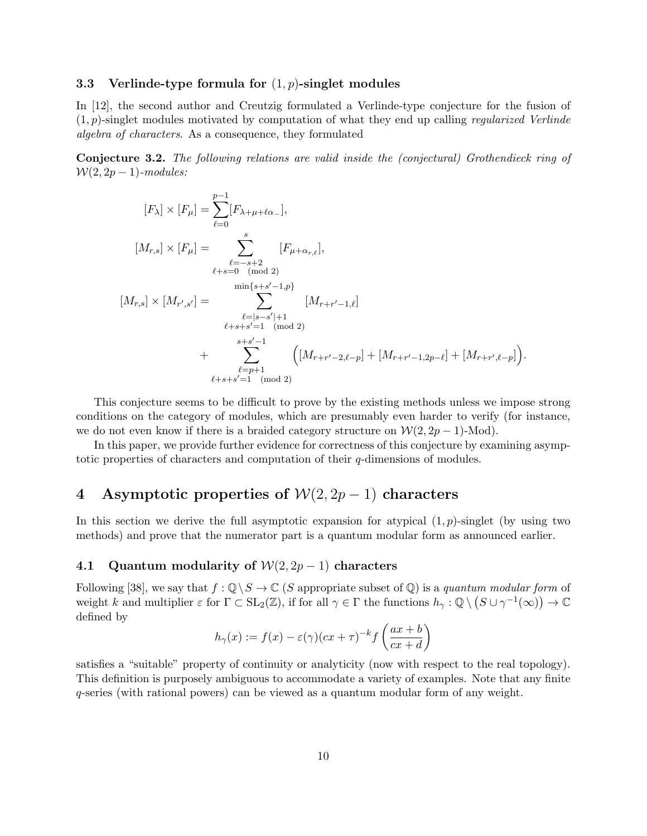### 3.3 Verlinde-type formula for  $(1, p)$ -singlet modules

In [12], the second author and Creutzig formulated a Verlinde-type conjecture for the fusion of  $(1, p)$ -singlet modules motivated by computation of what they end up calling *regularized Verlinde* algebra of characters. As a consequence, they formulated

Conjecture 3.2. The following relations are valid inside the (conjectural) Grothendieck ring of  $W(2, 2p-1)$ -modules:

$$
[F_{\lambda}] \times [F_{\mu}] = \sum_{\ell=0}^{p-1} [F_{\lambda+\mu+\ell\alpha_{-}}],
$$
  
\n
$$
[M_{r,s}] \times [F_{\mu}] = \sum_{\ell=s+2}^{s} [F_{\mu+\alpha_{r,\ell}}],
$$
  
\n
$$
[M_{r,s}] \times [M_{r',s'}] = \sum_{\substack{\min\{s+s'-1,p\} \\ \ell=s-s'|+1 \\ \ell+s+s'=1 \pmod{2}}}^{min\{s+s'-1,p\}} [M_{r+r'-1,\ell}]
$$
  
\n+ 
$$
\sum_{\substack{s+s'-1 \\ \ell=p+1}}^{s+s'-1} \left( [M_{r+r'-2,\ell-p}] + [M_{r+r'-1,2p-\ell}] + [M_{r+r',\ell-p}] \right).
$$

This conjecture seems to be difficult to prove by the existing methods unless we impose strong conditions on the category of modules, which are presumably even harder to verify (for instance, we do not even know if there is a braided category structure on  $\mathcal{W}(2, 2p-1)$ -Mod).

In this paper, we provide further evidence for correctness of this conjecture by examining asymptotic properties of characters and computation of their q-dimensions of modules.

## 4 Asymptotic properties of  $W(2, 2p-1)$  characters

In this section we derive the full asymptotic expansion for atypical  $(1, p)$ -singlet (by using two methods) and prove that the numerator part is a quantum modular form as announced earlier.

## 4.1 Quantum modularity of  $W(2, 2p-1)$  characters

Following [38], we say that  $f: \mathbb{Q} \backslash S \to \mathbb{C}$  (S appropriate subset of  $\mathbb{Q}$ ) is a quantum modular form of weight k and multiplier  $\varepsilon$  for  $\Gamma \subset SL_2(\mathbb{Z})$ , if for all  $\gamma \in \Gamma$  the functions  $h_\gamma : \mathbb{Q} \setminus (S \cup \gamma^{-1}(\infty)) \to \mathbb{C}$ defined by

$$
h_{\gamma}(x) := f(x) - \varepsilon(\gamma)(cx + \tau)^{-k} f\left(\frac{ax + b}{cx + d}\right)
$$

satisfies a "suitable" property of continuity or analyticity (now with respect to the real topology). This definition is purposely ambiguous to accommodate a variety of examples. Note that any finite q-series (with rational powers) can be viewed as a quantum modular form of any weight.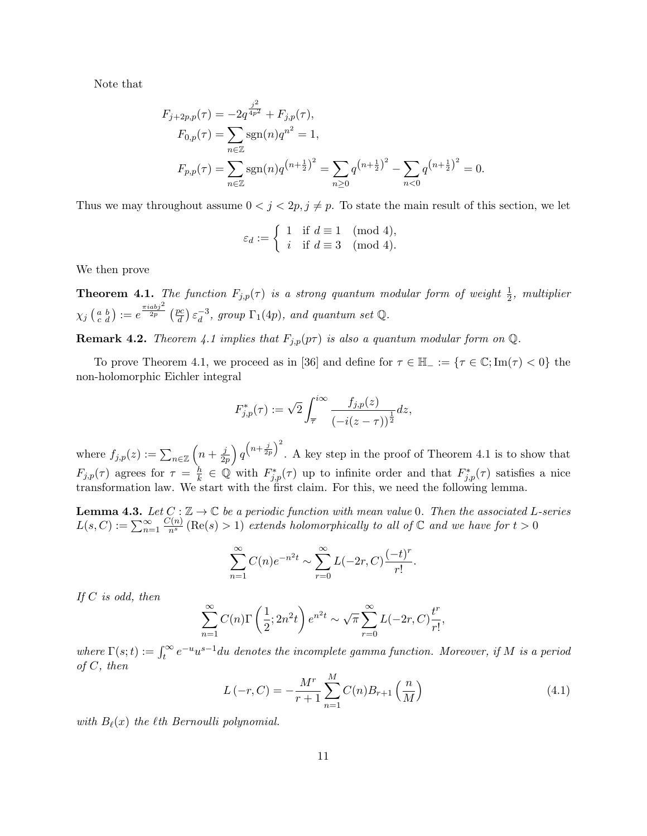Note that

$$
F_{j+2p,p}(\tau) = -2q^{\frac{j^2}{4p^2}} + F_{j,p}(\tau),
$$
  
\n
$$
F_{0,p}(\tau) = \sum_{n \in \mathbb{Z}} \text{sgn}(n)q^{n^2} = 1,
$$
  
\n
$$
F_{p,p}(\tau) = \sum_{n \in \mathbb{Z}} \text{sgn}(n)q^{(n+\frac{1}{2})^2} = \sum_{n \geq 0} q^{(n+\frac{1}{2})^2} - \sum_{n < 0} q^{(n+\frac{1}{2})^2} = 0.
$$

Thus we may throughout assume  $0 < j < 2p, j \neq p$ . To state the main result of this section, we let

$$
\varepsilon_d := \left\{ \begin{array}{ll} 1 & \text{if } d \equiv 1 \pmod{4}, \\ i & \text{if } d \equiv 3 \pmod{4}. \end{array} \right.
$$

We then prove

**Theorem 4.1.** The function  $F_{j,p}(\tau)$  is a strong quantum modular form of weight  $\frac{1}{2}$ , multiplier  $\chi_j\left(\begin{smallmatrix} a & b \ c & d \end{smallmatrix}\right):=e^{\frac{\pi i a b j^2}{2p}}\left(\frac{pc}{d}\right)$  $\left(\frac{bc}{d}\right)\varepsilon_d^{-3}$  $_d^{-3}$ , group  $\Gamma_1(4p)$ , and quantum set Q.

**Remark 4.2.** Theorem 4.1 implies that  $F_{j,p}(p\tau)$  is also a quantum modular form on  $\mathbb{Q}$ .

To prove Theorem 4.1, we proceed as in [36] and define for  $\tau \in \mathbb{H}_- := {\tau \in \mathbb{C}}; Im(\tau) < 0$  the non-holomorphic Eichler integral

$$
F_{j,p}^*(\tau) := \sqrt{2} \int_{\overline{\tau}}^{i\infty} \frac{f_{j,p}(z)}{(-i(z-\tau))^{\frac{1}{2}}} dz,
$$

where  $f_{j,p}(z) := \sum_{n \in \mathbb{Z}} \left( n + \frac{j}{2j} \right)$  $\frac{j}{2p}\Big)\, q^{\big(n+\frac{j}{2p}\big)^2}$ . A key step in the proof of Theorem 4.1 is to show that  $F_{j,p}(\tau)$  agrees for  $\tau = \frac{h}{k}$  $\frac{h}{k} \in \mathbb{Q}$  with  $F_{j,p}^*(\tau)$  up to infinite order and that  $F_{j,p}^*(\tau)$  satisfies a nice transformation law. We start with the first claim. For this, we need the following lemma.

**Lemma 4.3.** Let  $C: \mathbb{Z} \to \mathbb{C}$  be a periodic function with mean value 0. Then the associated L-series  $L(s, C) := \sum_{n=1}^{\infty}$  $\frac{C(n)}{n^s}$  (Re(s) > 1) extends holomorphically to all of  $\mathbb C$  and we have for  $t > 0$ 

$$
\sum_{n=1}^{\infty} C(n)e^{-n^2t} \sim \sum_{r=0}^{\infty} L(-2r, C) \frac{(-t)^r}{r!}.
$$

If  $C$  is odd, then

$$
\sum_{n=1}^{\infty} C(n) \Gamma\left(\frac{1}{2}; 2n^2 t\right) e^{n^2 t} \sim \sqrt{\pi} \sum_{r=0}^{\infty} L(-2r, C) \frac{t^r}{r!},
$$

where  $\Gamma(s;t) := \int_t^{\infty} e^{-u} u^{s-1} du$  denotes the incomplete gamma function. Moreover, if M is a period of  $C$ , then

$$
L(-r, C) = -\frac{M^r}{r+1} \sum_{n=1}^{M} C(n) B_{r+1}\left(\frac{n}{M}\right)
$$
\n(4.1)

with  $B_{\ell}(x)$  the  $\ell$ th Bernoulli polynomial.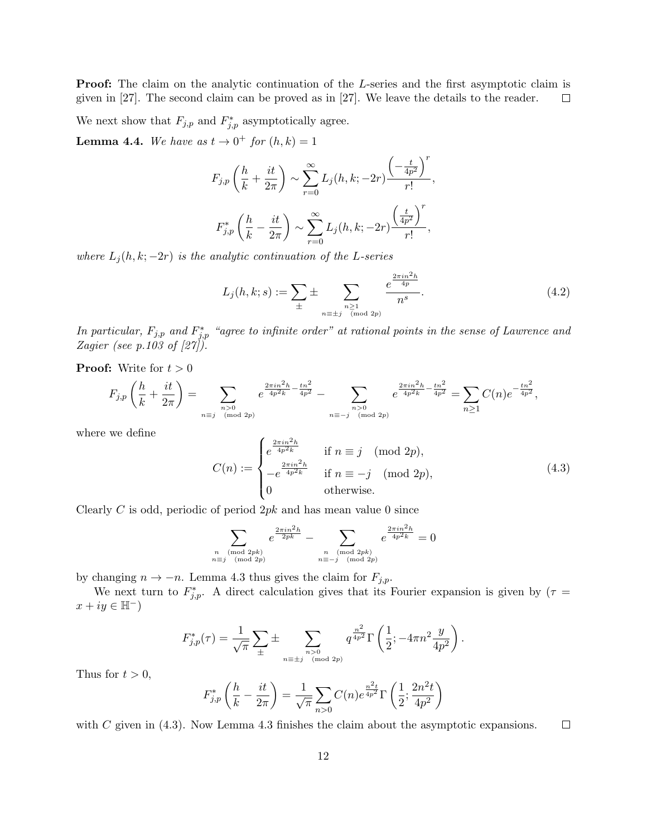**Proof:** The claim on the analytic continuation of the L-series and the first asymptotic claim is given in [27]. The second claim can be proved as in [27]. We leave the details to the reader.  $\Box$ 

We next show that  $F_{j,p}$  and  $F_{j,p}^*$  asymptotically agree.

**Lemma 4.4.** We have as  $t \to 0^+$  for  $(h, k) = 1$ 

$$
F_{j,p}\left(\frac{h}{k} + \frac{it}{2\pi}\right) \sim \sum_{r=0}^{\infty} L_j(h, k; -2r) \frac{\left(-\frac{t}{4p^2}\right)^r}{r!},
$$

$$
F_{j,p}^*\left(\frac{h}{k} - \frac{it}{2\pi}\right) \sim \sum_{r=0}^{\infty} L_j(h, k; -2r) \frac{\left(\frac{t}{4p^2}\right)^r}{r!},
$$

where  $L_j(h, k; -2r)$  is the analytic continuation of the L-series

$$
L_j(h,k;s) := \sum_{\pm} \pm \sum_{\substack{n \geq 1 \\ n \equiv \pm j \pmod{2p}}} \frac{e^{\frac{2\pi i n^2 h}{4p}}}{n^s}.
$$
 (4.2)

In particular,  $F_{j,p}$  and  $F_{j,p}^*$  "agree to infinite order" at rational points in the sense of Lawrence and Zagier (see  $p.103$  of  $[27]$ ).

**Proof:** Write for  $t > 0$ 

$$
F_{j,p}\left(\frac{h}{k} + \frac{it}{2\pi}\right) = \sum_{\substack{n>0 \ n \equiv j \pmod{2p}}} e^{\frac{2\pi i n^2 h}{4p^2 k} - \frac{tn^2}{4p^2}} - \sum_{\substack{n>0 \ n \equiv -j \pmod{2p}}} e^{\frac{2\pi i n^2 h}{4p^2 k} - \frac{tn^2}{4p^2}} = \sum_{n\geq 1} C(n) e^{-\frac{tn^2}{4p^2}},
$$

where we define

$$
C(n) := \begin{cases} e^{\frac{2\pi i n^2 h}{4p^2 k}} & \text{if } n \equiv j \pmod{2p}, \\ -e^{\frac{2\pi i n^2 h}{4p^2 k}} & \text{if } n \equiv -j \pmod{2p}, \\ 0 & \text{otherwise.} \end{cases}
$$
(4.3)

Clearly  $C$  is odd, periodic of period  $2pk$  and has mean value 0 since

$$
\sum_{\substack{n \pmod{2pk} \\ n \equiv j \pmod{2p}}} e^{\frac{2\pi i n^2 h}{2pk}} - \sum_{\substack{n \pmod{2pk} \\ n \equiv -j \pmod{2p}}} e^{\frac{2\pi i n^2 h}{4p^2 k}} = 0
$$

by changing  $n \to -n$ . Lemma 4.3 thus gives the claim for  $F_{j,p}$ .

We next turn to  $F_{j,p}^*$ . A direct calculation gives that its Fourier expansion is given by  $(\tau =$  $x + iy \in \mathbb{H}^{\mathbb{Z}}$ 

$$
F_{j,p}^*(\tau) = \frac{1}{\sqrt{\pi}} \sum_{\pm} \pm \sum_{\substack{n > 0 \ n \equiv \pm j \pmod{2p}}} q^{\frac{n^2}{4p^2}} \Gamma\left(\frac{1}{2}; -4\pi n^2 \frac{y}{4p^2}\right).
$$

Thus for  $t > 0$ ,

$$
F_{j,p}^* \left( \frac{h}{k} - \frac{it}{2\pi} \right) = \frac{1}{\sqrt{\pi}} \sum_{n>0} C(n) e^{\frac{n^2 t}{4p^2}} \Gamma \left( \frac{1}{2}; \frac{2n^2 t}{4p^2} \right)
$$

with  $C$  given in  $(4.3)$ . Now Lemma 4.3 finishes the claim about the asymptotic expansions.  $\Box$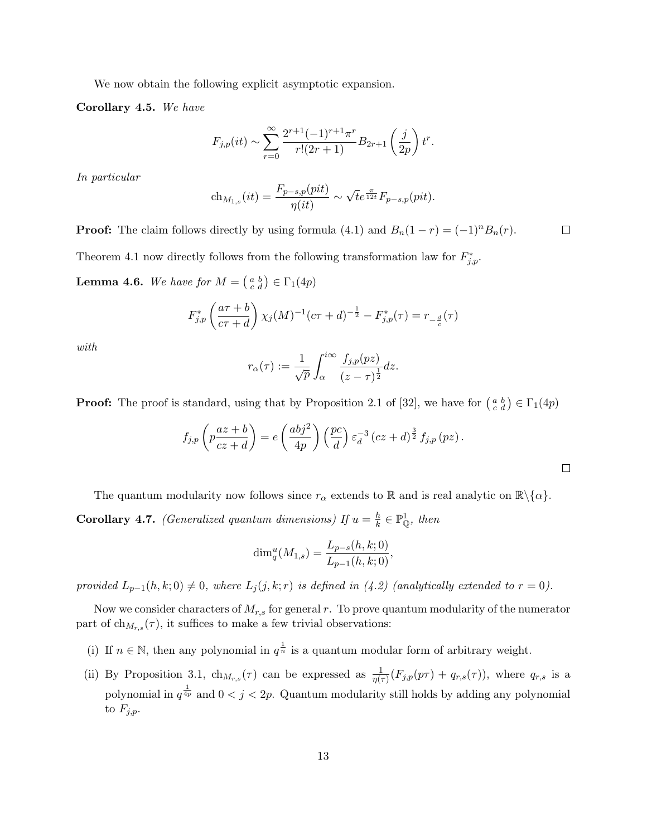We now obtain the following explicit asymptotic expansion.

Corollary 4.5. We have

$$
F_{j,p}(it) \sim \sum_{r=0}^{\infty} \frac{2^{r+1}(-1)^{r+1}\pi^r}{r!(2r+1)} B_{2r+1}\left(\frac{j}{2p}\right)t^r.
$$

In particular

$$
ch_{M_{1,s}}(it) = \frac{F_{p-s,p}(pit)}{\eta(it)} \sim \sqrt{t} e^{\frac{\pi}{12t}} F_{p-s,p}(pit).
$$

**Proof:** The claim follows directly by using formula (4.1) and  $B_n(1 - r) = (-1)^n B_n(r)$ .  $\Box$ 

Theorem 4.1 now directly follows from the following transformation law for  $F_{j,p}^*$ .

**Lemma 4.6.** We have for  $M = \begin{pmatrix} a & b \\ c & d \end{pmatrix} \in \Gamma_1(4p)$ 

$$
F_{j,p}^* \left(\frac{a\tau + b}{c\tau + d}\right) \chi_j(M)^{-1} (c\tau + d)^{-\frac{1}{2}} - F_{j,p}^* (\tau) = r_{-\frac{d}{c}}(\tau)
$$

with

$$
r_{\alpha}(\tau) := \frac{1}{\sqrt{p}} \int_{\alpha}^{i\infty} \frac{f_{j,p}(pz)}{(z-\tau)^{\frac{1}{2}}} dz.
$$

**Proof:** The proof is standard, using that by Proposition 2.1 of [32], we have for  $\begin{pmatrix} a & b \\ c & d \end{pmatrix} \in \Gamma_1(4p)$ 

$$
f_{j,p}\left(p\frac{az+b}{cz+d}\right) = e\left(\frac{abj^2}{4p}\right)\left(\frac{pc}{d}\right)\varepsilon_d^{-3}\left(cz+d\right)^{\frac{3}{2}}f_{j,p}\left(pz\right).
$$

The quantum modularity now follows since  $r_{\alpha}$  extends to R and is real analytic on  $\mathbb{R}\setminus\{\alpha\}.$ **Corollary 4.7.** (Generalized quantum dimensions) If  $u = \frac{h}{k}$  $\frac{h}{k} \in \mathbb{P}_{\mathbb{Q}}^1$ , then

$$
\dim_q^u(M_{1,s}) = \frac{L_{p-s}(h,k;0)}{L_{p-1}(h,k;0)},
$$

provided  $L_{p-1}(h, k; 0) \neq 0$ , where  $L_j(j, k; r)$  is defined in (4.2) (analytically extended to  $r = 0$ ).

Now we consider characters of  $M_{r,s}$  for general r. To prove quantum modularity of the numerator part of  $\text{ch}_{M_{r,s}}(\tau)$ , it suffices to make a few trivial observations:

- (i) If  $n \in \mathbb{N}$ , then any polynomial in  $q^{\frac{1}{n}}$  is a quantum modular form of arbitrary weight.
- (ii) By Proposition 3.1,  $\ch_{M_{r,s}}(\tau)$  can be expressed as  $\frac{1}{\eta(\tau)}(F_{j,p}(p\tau) + q_{r,s}(\tau))$ , where  $q_{r,s}$  is a polynomial in  $q^{\frac{1}{4p}}$  and  $0 < j < 2p$ . Quantum modularity still holds by adding any polynomial to  $F_{j,p}$ .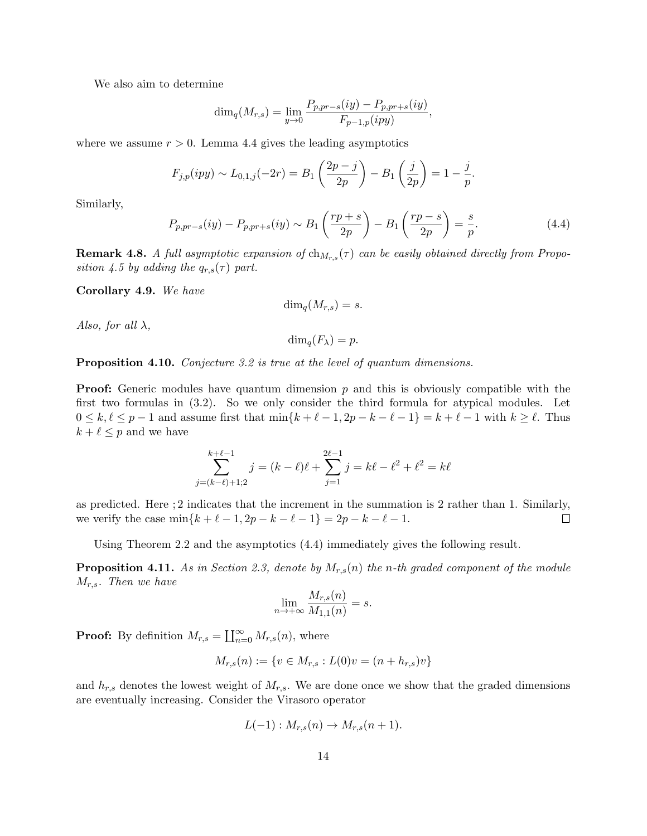We also aim to determine

$$
\dim_q(M_{r,s}) = \lim_{y \to 0} \frac{P_{p, pr-s}(iy) - P_{p, pr+s}(iy)}{F_{p-1, p}(ipy)},
$$

where we assume  $r > 0$ . Lemma 4.4 gives the leading asymptotics

$$
F_{j,p}(ipy) \sim L_{0,1,j}(-2r) = B_1\left(\frac{2p-j}{2p}\right) - B_1\left(\frac{j}{2p}\right) = 1 - \frac{j}{p}.
$$

Similarly,

$$
P_{p,pr-s}(iy) - P_{p,pr+s}(iy) \sim B_1\left(\frac{rp+s}{2p}\right) - B_1\left(\frac{rp-s}{2p}\right) = \frac{s}{p}.
$$
 (4.4)

**Remark 4.8.** A full asymptotic expansion of  $ch_{M_{r,s}}(\tau)$  can be easily obtained directly from Proposition 4.5 by adding the  $q_{r,s}(\tau)$  part.

Corollary 4.9. We have

$$
\dim_q(M_{r,s})=s.
$$

Also, for all  $\lambda$ ,

$$
\dim_q(F_\lambda)=p.
$$

**Proposition 4.10.** Conjecture 3.2 is true at the level of quantum dimensions.

**Proof:** Generic modules have quantum dimension  $p$  and this is obviously compatible with the first two formulas in (3.2). So we only consider the third formula for atypical modules. Let  $0 \leq k, \ell \leq p - 1$  and assume first that  $\min\{k + \ell - 1, 2p - k - \ell - 1\} = k + \ell - 1$  with  $k \geq \ell$ . Thus  $k + \ell \leq p$  and we have

$$
\sum_{j=(k-\ell)+1;2}^{k+\ell-1} j = (k-\ell)\ell + \sum_{j=1}^{2\ell-1} j = k\ell - \ell^2 + \ell^2 = k\ell
$$

as predicted. Here ; 2 indicates that the increment in the summation is 2 rather than 1. Similarly, we verify the case  $\min\{k + \ell - 1, 2p - k - \ell - 1\} = 2p - k - \ell - 1.$  $\Box$ 

Using Theorem 2.2 and the asymptotics (4.4) immediately gives the following result.

**Proposition 4.11.** As in Section 2.3, denote by  $M_{r,s}(n)$  the n-th graded component of the module  $M_{r,s}$ . Then we have

$$
\lim_{n \to +\infty} \frac{M_{r,s}(n)}{M_{1,1}(n)} = s.
$$

**Proof:** By definition  $M_{r,s} = \coprod_{n=0}^{\infty} M_{r,s}(n)$ , where

$$
M_{r,s}(n) := \{ v \in M_{r,s} : L(0)v = (n + h_{r,s})v \}
$$

and  $h_{r,s}$  denotes the lowest weight of  $M_{r,s}$ . We are done once we show that the graded dimensions are eventually increasing. Consider the Virasoro operator

$$
L(-1): M_{r,s}(n) \to M_{r,s}(n+1).
$$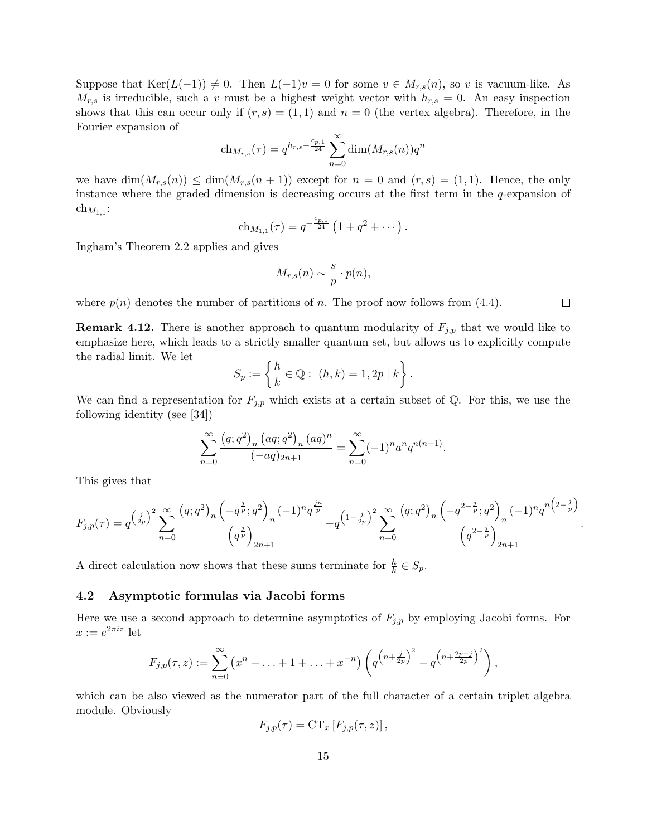Suppose that  $\text{Ker}(L(-1)) \neq 0$ . Then  $L(-1)v = 0$  for some  $v \in M_{r,s}(n)$ , so v is vacuum-like. As  $M_{r,s}$  is irreducible, such a v must be a highest weight vector with  $h_{r,s} = 0$ . An easy inspection shows that this can occur only if  $(r, s) = (1, 1)$  and  $n = 0$  (the vertex algebra). Therefore, in the Fourier expansion of

$$
ch_{M_{r,s}}(\tau) = q^{h_{r,s} - \frac{c_{p,1}}{24}} \sum_{n=0}^{\infty} \dim(M_{r,s}(n)) q^n
$$

we have  $\dim(M_{r,s}(n)) \leq \dim(M_{r,s}(n+1))$  except for  $n = 0$  and  $(r, s) = (1, 1)$ . Hence, the only instance where the graded dimension is decreasing occurs at the first term in the  $q$ -expansion of  $\ch_{M_{1,1}}$ :

$$
ch_{M_{1,1}}(\tau) = q^{-\frac{c_{p,1}}{24}} \left(1 + q^2 + \cdots \right).
$$

Ingham's Theorem 2.2 applies and gives

$$
M_{r,s}(n) \sim \frac{s}{p} \cdot p(n),
$$

where  $p(n)$  denotes the number of partitions of n. The proof now follows from (4.4).

**Remark 4.12.** There is another approach to quantum modularity of  $F_{j,p}$  that we would like to emphasize here, which leads to a strictly smaller quantum set, but allows us to explicitly compute the radial limit. We let

$$
S_p := \left\{ \frac{h}{k} \in \mathbb{Q} : (h, k) = 1, 2p \mid k \right\}.
$$

We can find a representation for  $F_{j,p}$  which exists at a certain subset of Q. For this, we use the following identity (see [34])

$$
\sum_{n=0}^{\infty} \frac{(q;q^2)_n (aq;q^2)_n (aq)^n}{(-aq)_{2n+1}} = \sum_{n=0}^{\infty} (-1)^n a^n q^{n(n+1)}.
$$

This gives that

$$
F_{j,p}(\tau) = q^{\left(\frac{j}{2p}\right)^2} \sum_{n=0}^{\infty} \frac{\left(q;q^2\right)_n \left(-q^{\frac{j}{p}};q^2\right)_n (-1)^n q^{\frac{jn}{p}}}{\left(q^{\frac{j}{p}}\right)_{2n+1}} - q^{\left(1-\frac{j}{2p}\right)^2} \sum_{n=0}^{\infty} \frac{\left(q;q^2\right)_n \left(-q^{2-\frac{j}{p}};q^2\right)_n (-1)^n q^{n\left(2-\frac{j}{p}\right)}}{\left(q^{2-\frac{j}{p}}\right)_{2n+1}}
$$

A direct calculation now shows that these sums terminate for  $\frac{h}{k} \in S_p$ .

#### 4.2 Asymptotic formulas via Jacobi forms

Here we use a second approach to determine asymptotics of  $F_{j,p}$  by employing Jacobi forms. For  $x := e^{2\pi i z}$  let

$$
F_{j,p}(\tau,z) := \sum_{n=0}^{\infty} (x^n + \ldots + 1 + \ldots + x^{-n}) \left( q^{\left( n + \frac{j}{2p} \right)^2} - q^{\left( n + \frac{2p-j}{2p} \right)^2} \right),
$$

which can be also viewed as the numerator part of the full character of a certain triplet algebra module. Obviously

$$
F_{j,p}(\tau) = \mathrm{CT}_x \left[ F_{j,p}(\tau, z) \right],
$$

 $\Box$ 

.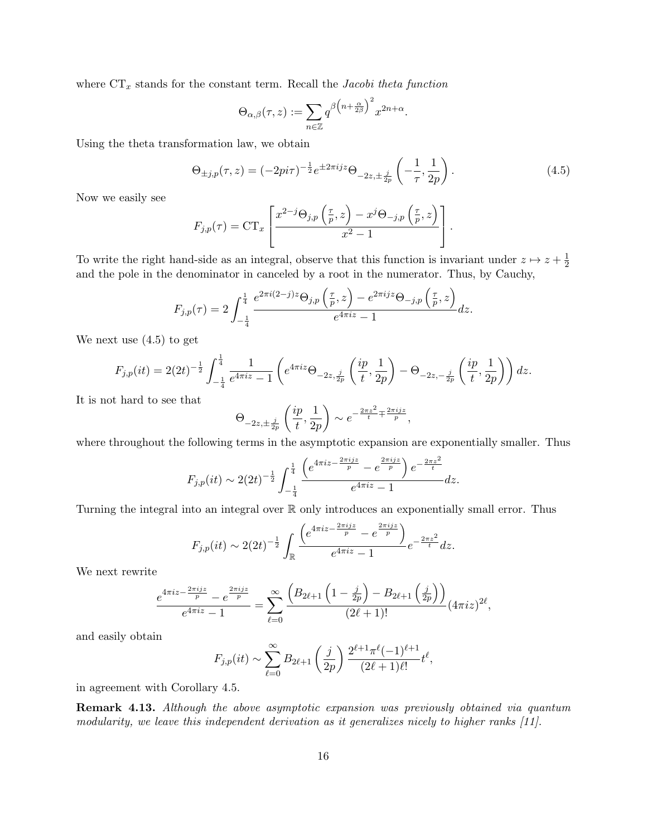where  $CT_x$  stands for the constant term. Recall the Jacobi theta function

$$
\Theta_{\alpha,\beta}(\tau,z) := \sum_{n \in \mathbb{Z}} q^{\beta \left( n + \frac{\alpha}{2\beta} \right)^2} x^{2n + \alpha}.
$$

Using the theta transformation law, we obtain

$$
\Theta_{\pm j,p}(\tau,z) = (-2pi\tau)^{-\frac{1}{2}} e^{\pm 2\pi i j z} \Theta_{-2z,\pm \frac{j}{2p}} \left( -\frac{1}{\tau}, \frac{1}{2p} \right).
$$
 (4.5)

Now we easily see

$$
F_{j,p}(\tau) = \mathrm{CT}_x \left[ \frac{x^{2-j} \Theta_{j,p} \left( \frac{\tau}{p}, z \right) - x^j \Theta_{-j,p} \left( \frac{\tau}{p}, z \right)}{x^2 - 1} \right].
$$

To write the right hand-side as an integral, observe that this function is invariant under  $z \mapsto z + \frac{1}{2}$  $\overline{2}$ and the pole in the denominator in canceled by a root in the numerator. Thus, by Cauchy,

$$
F_{j,p}(\tau) = 2 \int_{-\frac{1}{4}}^{\frac{1}{4}} \frac{e^{2\pi i (2-j)z} \Theta_{j,p}(\frac{\tau}{p}, z) - e^{2\pi i j z} \Theta_{-j,p}(\frac{\tau}{p}, z)}{e^{4\pi i z} - 1} dz.
$$

We next use (4.5) to get

$$
F_{j,p}(it) = 2(2t)^{-\frac{1}{2}} \int_{-\frac{1}{4}}^{\frac{1}{4}} \frac{1}{e^{4\pi iz} - 1} \left( e^{4\pi iz} \Theta_{-2z, \frac{j}{2p}} \left( \frac{ip}{t}, \frac{1}{2p} \right) - \Theta_{-2z, -\frac{j}{2p}} \left( \frac{ip}{t}, \frac{1}{2p} \right) \right) dz.
$$

It is not hard to see that

$$
\Theta_{-2z,\pm \frac{j}{2p}}\left(\frac{ip}{t},\frac{1}{2p}\right)\sim e^{-\frac{2\pi z^2}{t}\mp \frac{2\pi ijz}{p}},
$$

where throughout the following terms in the asymptotic expansion are exponentially smaller. Thus

$$
F_{j,p}(it) \sim 2(2t)^{-\frac{1}{2}} \int_{-\frac{1}{4}}^{\frac{1}{4}} \frac{\left(e^{4\pi i z - \frac{2\pi i j z}{p}} - e^{\frac{2\pi i j z}{p}}\right) e^{-\frac{2\pi z^2}{t}}}{e^{4\pi i z} - 1} dz.
$$

Turning the integral into an integral over R only introduces an exponentially small error. Thus

$$
F_{j,p}(it) \sim 2(2t)^{-\frac{1}{2}} \int_{\mathbb{R}} \frac{\left(e^{4\pi i z - \frac{2\pi i j z}{p}} - e^{\frac{2\pi i j z}{p}}\right)}{e^{4\pi i z} - 1} e^{-\frac{2\pi z^2}{t}} dz.
$$

We next rewrite

$$
\frac{e^{4\pi i z - \frac{2\pi i j z}{p}} - e^{\frac{2\pi i j z}{p}}}{e^{4\pi i z} - 1} = \sum_{\ell=0}^{\infty} \frac{\left(B_{2\ell+1} \left(1 - \frac{j}{2p}\right) - B_{2\ell+1} \left(\frac{j}{2p}\right)\right)}{(2\ell+1)!} (4\pi i z)^{2\ell},
$$

and easily obtain

$$
F_{j,p}(it) \sim \sum_{\ell=0}^{\infty} B_{2\ell+1} \left(\frac{j}{2p}\right) \frac{2^{\ell+1} \pi^{\ell} (-1)^{\ell+1}}{(2\ell+1)\ell!} t^{\ell},
$$

in agreement with Corollary 4.5.

Remark 4.13. Although the above asymptotic expansion was previously obtained via quantum modularity, we leave this independent derivation as it generalizes nicely to higher ranks [11].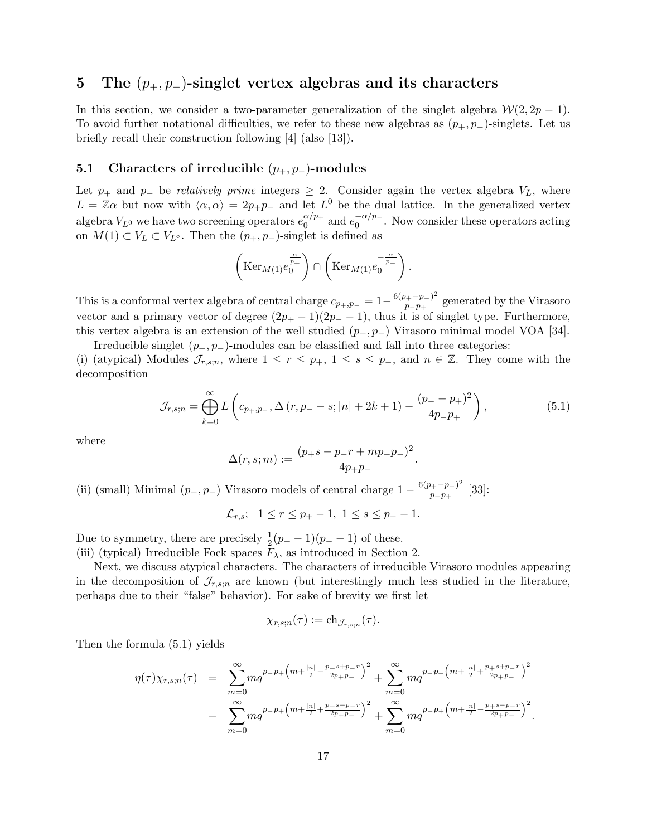## 5 The  $(p_+, p_-)$ -singlet vertex algebras and its characters

In this section, we consider a two-parameter generalization of the singlet algebra  $W(2, 2p - 1)$ . To avoid further notational difficulties, we refer to these new algebras as  $(p_+, p_-)$ -singlets. Let us briefly recall their construction following [4] (also [13]).

## 5.1 Characters of irreducible  $(p_+, p_-)$ -modules

Let  $p_+$  and  $p_-$  be *relatively prime* integers  $\geq 2$ . Consider again the vertex algebra  $V_L$ , where  $L = \mathbb{Z}\alpha$  but now with  $\langle \alpha, \alpha \rangle = 2p_+p_-$  and let  $L^0$  be the dual lattice. In the generalized vertex algebra  $V_{L^0}$  we have two screening operators  $e_0^{\alpha/p_+}$  $a/p_+$  and  $e_0^{-\alpha/p_-}$  $0^{-\alpha/p}$ . Now consider these operators acting on  $M(1)$  ⊂  $V_L$  ⊂  $V_{L^{\circ}}$ . Then the  $(p_+, p_-)$ -singlet is defined as

$$
\left(\mathrm{Ker}_{M(1)}e_{0}^{\frac{\alpha}{p_{+}}}\right)\cap\left(\mathrm{Ker}_{M(1)}e_{0}^{-\frac{\alpha}{p_{-}}}\right).
$$

This is a conformal vertex algebra of central charge  $c_{p_+,p_-} = 1 - \frac{6(p_+ - p_-)^2}{p_- p_+}$  $\frac{p_+ - p_-}{p_- p_+}$  generated by the Virasoro vector and a primary vector of degree  $(2p_+ - 1)(2p_- - 1)$ , thus it is of singlet type. Furthermore, this vertex algebra is an extension of the well studied  $(p_+, p_-)$  Virasoro minimal model VOA [34].

Irreducible singlet  $(p_+, p_-)$ -modules can be classified and fall into three categories: (i) (atypical) Modules  $\mathcal{J}_{r,s;n}$ , where  $1 \leq r \leq p_+$ ,  $1 \leq s \leq p_-$ , and  $n \in \mathbb{Z}$ . They come with the decomposition

$$
\mathcal{J}_{r,s;n} = \bigoplus_{k=0}^{\infty} L\left(c_{p_+,p_-}, \Delta\left(r, p_- - s; |n| + 2k + 1\right) - \frac{(p_- - p_+)^2}{4p_- p_+}\right),\tag{5.1}
$$

where

$$
\Delta(r,s;m) := \frac{(p_{+} - p_{-}r + mp_{+}p_{-})^2}{4p_{+}p_{-}}.
$$

(ii) (small) Minimal  $(p_+, p_-)$  Virasoro models of central charge  $1 - \frac{6(p_+ - p_-)^2}{p_- - p_+}$  $\frac{p_+ - p_-}{p_- p_+}$  [33]:

$$
\mathcal{L}_{r,s}; \ \ 1 \le r \le p_+ - 1, \ 1 \le s \le p_- - 1.
$$

Due to symmetry, there are precisely  $\frac{1}{2}(p_{+} - 1)(p_{-} - 1)$  of these. (iii) (typical) Irreducible Fock spaces  $F_{\lambda}$ , as introduced in Section 2.

Next, we discuss atypical characters. The characters of irreducible Virasoro modules appearing in the decomposition of  $\mathcal{J}_{r,s,n}$  are known (but interestingly much less studied in the literature, perhaps due to their "false" behavior). For sake of brevity we first let

$$
\chi_{r,s;n}(\tau) := \mathrm{ch}_{\mathcal{J}_{r,s;n}}(\tau).
$$

Then the formula (5.1) yields

$$
\eta(\tau)\chi_{r,s;n}(\tau) = \sum_{m=0}^{\infty} mq^{p-p+\left(m+\frac{|n|}{2}-\frac{p+s+p-r}{2p+p-}\right)^2} + \sum_{m=0}^{\infty} mq^{p-p+\left(m+\frac{|n|}{2}+\frac{p+s+p-r}{2p+p-}\right)^2}
$$
  
- 
$$
\sum_{m=0}^{\infty} mq^{p-p+\left(m+\frac{|n|}{2}+\frac{p+s-p-r}{2p+p-}\right)^2} + \sum_{m=0}^{\infty} mq^{p-p+\left(m+\frac{|n|}{2}-\frac{p+s-p-r}{2p+p-}\right)^2}.
$$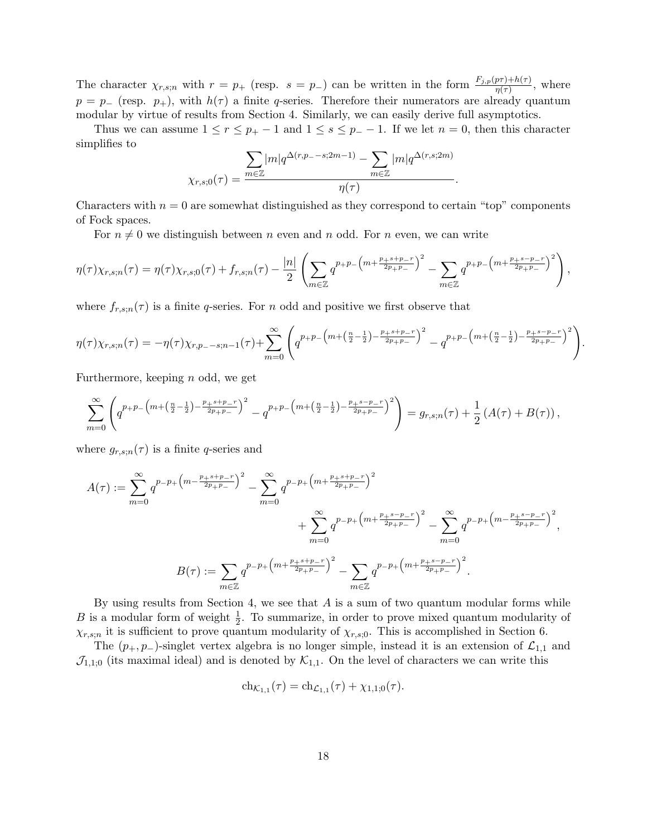The character  $\chi_{r,s;n}$  with  $r = p_+$  (resp.  $s = p_-$ ) can be written in the form  $\frac{F_{j,p}(p\tau) + h(\tau)}{\eta(\tau)}$ , where  $p = p_{-}$  (resp.  $p_{+}$ ), with  $h(\tau)$  a finite q-series. Therefore their numerators are already quantum modular by virtue of results from Section 4. Similarly, we can easily derive full asymptotics.

Thus we can assume  $1 \le r \le p_+ - 1$  and  $1 \le s \le p_- - 1$ . If we let  $n = 0$ , then this character simplifies to

$$
\chi_{r,s;0}(\tau) = \frac{\sum_{m \in \mathbb{Z}} |m| q^{\Delta(r,p-s;2m-1)} - \sum_{m \in \mathbb{Z}} |m| q^{\Delta(r,s;2m)}}{\eta(\tau)}.
$$

Characters with  $n = 0$  are somewhat distinguished as they correspond to certain "top" components of Fock spaces.

For  $n \neq 0$  we distinguish between n even and n odd. For n even, we can write

$$
\eta(\tau)\chi_{r,s;n}(\tau) = \eta(\tau)\chi_{r,s;0}(\tau) + f_{r,s;n}(\tau) - \frac{|n|}{2} \left( \sum_{m \in \mathbb{Z}} q^{p+p-\left(m+\frac{p+s+p-r}{2p+p-}\right)^2} - \sum_{m \in \mathbb{Z}} q^{p+p-\left(m+\frac{p+s-p-r}{2p+p-}\right)^2} \right),
$$

where  $f_{r,s;n}(\tau)$  is a finite q-series. For n odd and positive we first observe that

$$
\eta(\tau)\chi_{r,s;n}(\tau) = -\eta(\tau)\chi_{r,p,--s;n-1}(\tau) + \sum_{m=0}^{\infty} \left( q^{p+p-\left(m+\left(\frac{n}{2}-\frac{1}{2}\right)-\frac{p+s+p-r}{2p+p-\right)^2}} - q^{p+p-\left(m+\left(\frac{n}{2}-\frac{1}{2}\right)-\frac{p+s-p-r}{2p+p-\right)^2}} \right).
$$

Furthermore, keeping n odd, we get

$$
\sum_{m=0}^{\infty} \left( q^{p+p-\left(m+\left(\frac{n}{2}-\frac{1}{2}\right)-\frac{p+s+p-r}{2p+p-}\right)^2} - q^{p+p-\left(m+\left(\frac{n}{2}-\frac{1}{2}\right)-\frac{p+s-p-r}{2p+p-}\right)^2} \right) = g_{r,s;n}(\tau) + \frac{1}{2} \left( A(\tau) + B(\tau) \right),
$$

where  $g_{r,s;n}(\tau)$  is a finite q-series and

$$
A(\tau) := \sum_{m=0}^{\infty} q^{p-p_+ \left(m - \frac{p+s+p-r}{2p+p_-}\right)^2} - \sum_{m=0}^{\infty} q^{p-p_+ \left(m + \frac{p+s+p-r}{2p+p_-}\right)^2} + \sum_{m=0}^{\infty} q^{p-p_+ \left(m + \frac{p+s-p-r}{2p+p_-}\right)^2} - \sum_{m=0}^{\infty} q^{p-p_+ \left(m - \frac{p+s-p-r}{2p+p_-}\right)^2},
$$
  

$$
B(\tau) := \sum_{m \in \mathbb{Z}} q^{p-p_+ \left(m + \frac{p+s+p-r}{2p+p_-}\right)^2} - \sum_{m \in \mathbb{Z}} q^{p-p_+ \left(m + \frac{p+s-p-r}{2p+p_-}\right)^2}.
$$

By using results from Section 4, we see that  $A$  is a sum of two quantum modular forms while B is a modular form of weight  $\frac{1}{2}$ . To summarize, in order to prove mixed quantum modularity of  $\chi_{r,s;n}$  it is sufficient to prove quantum modularity of  $\chi_{r,s;0}$ . This is accomplished in Section 6.

The  $(p_+, p_-)$ -singlet vertex algebra is no longer simple, instead it is an extension of  $\mathcal{L}_{1,1}$  and  $\mathcal{J}_{1,1;0}$  (its maximal ideal) and is denoted by  $\mathcal{K}_{1,1}$ . On the level of characters we can write this

$$
ch_{\mathcal{K}_{1,1}}(\tau) = ch_{\mathcal{L}_{1,1}}(\tau) + \chi_{1,1;0}(\tau).
$$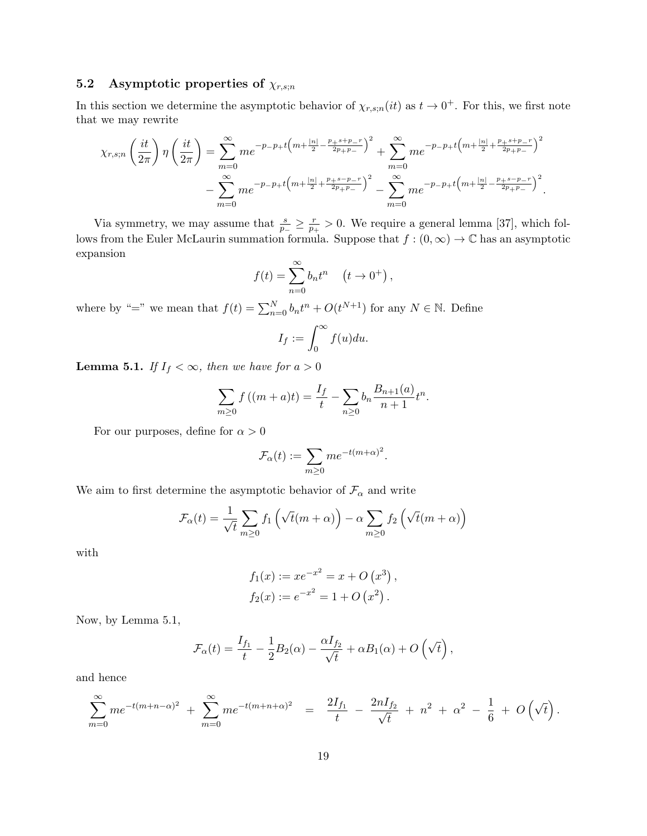## 5.2 Asymptotic properties of  $\chi_{r,s;n}$

In this section we determine the asymptotic behavior of  $\chi_{r,s;n}(it)$  as  $t \to 0^+$ . For this, we first note that we may rewrite

$$
\chi_{r,s;n}\left(\frac{it}{2\pi}\right)\eta\left(\frac{it}{2\pi}\right) = \sum_{m=0}^{\infty} me^{-p-p+t\left(m+\frac{|n|}{2}-\frac{p+s+p-r}{2p+p-}\right)^2} + \sum_{m=0}^{\infty} me^{-p-p+t\left(m+\frac{|n|}{2}+\frac{p+s+p-r}{2p+p-}\right)^2}
$$

$$
-\sum_{m=0}^{\infty} me^{-p-p+t\left(m+\frac{|n|}{2}+\frac{p+s-p-r}{2p+p-}\right)^2} - \sum_{m=0}^{\infty} me^{-p-p+t\left(m+\frac{|n|}{2}-\frac{p+s-p-r}{2p+p-}\right)^2}.
$$

Via symmetry, we may assume that  $\frac{s}{p_-} \geq \frac{r}{p_+}$  $\frac{r}{p_+} > 0$ . We require a general lemma [37], which follows from the Euler McLaurin summation formula. Suppose that  $f:(0,\infty) \to \mathbb{C}$  has an asymptotic expansion

$$
f(t) = \sum_{n=0}^{\infty} b_n t^n \quad (t \to 0^+),
$$

where by "=" we mean that  $f(t) = \sum_{n=0}^{N} b_n t^n + O(t^{N+1})$  for any  $N \in \mathbb{N}$ . Define

$$
I_f := \int_0^\infty f(u) du.
$$

**Lemma 5.1.** If  $I_f < \infty$ , then we have for  $a > 0$ 

$$
\sum_{m\geq 0} f((m+a)t) = \frac{I_f}{t} - \sum_{n\geq 0} b_n \frac{B_{n+1}(a)}{n+1} t^n.
$$

For our purposes, define for  $\alpha > 0$ 

$$
\mathcal{F}_{\alpha}(t):=\sum_{m\geq 0}me^{-t(m+\alpha)^2}.
$$

We aim to first determine the asymptotic behavior of  $\mathcal{F}_{\alpha}$  and write

$$
\mathcal{F}_{\alpha}(t) = \frac{1}{\sqrt{t}} \sum_{m \ge 0} f_1\left(\sqrt{t}(m + \alpha)\right) - \alpha \sum_{m \ge 0} f_2\left(\sqrt{t}(m + \alpha)\right)
$$

with

$$
f_1(x) := xe^{-x^2} = x + O(x^3),
$$
  
\n $f_2(x) := e^{-x^2} = 1 + O(x^2).$ 

Now, by Lemma 5.1,

$$
\mathcal{F}_{\alpha}(t)=\frac{I_{f_1}}{t}-\frac{1}{2}B_2(\alpha)-\frac{\alpha I_{f_2}}{\sqrt{t}}+\alpha B_1(\alpha)+O\left(\sqrt{t}\right),
$$

and hence

$$
\sum_{m=0}^{\infty} me^{-t(m+n-\alpha)^2} + \sum_{m=0}^{\infty} me^{-t(m+n+\alpha)^2} = \frac{2I_{f_1}}{t} - \frac{2nI_{f_2}}{\sqrt{t}} + n^2 + \alpha^2 - \frac{1}{6} + O\left(\sqrt{t}\right).
$$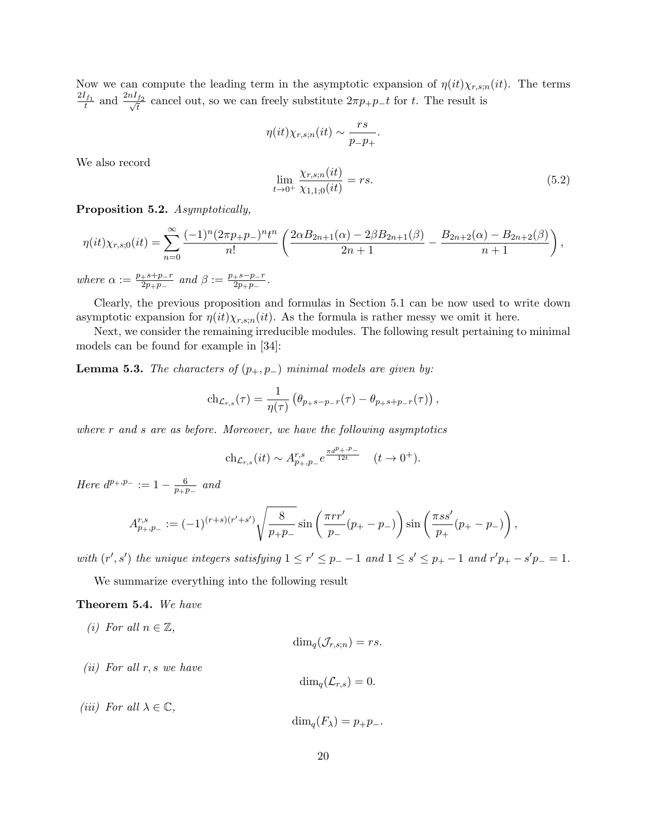Now we can compute the leading term in the asymptotic expansion of  $\eta(it)\chi_{r,s,n}(it)$ . The terms  $\frac{2I_{f_1}}{t}$  and  $\frac{2nI_{f_2}}{\sqrt{t}}$  $\frac{f_2}{\overline{t}}$  cancel out, so we can freely substitute  $2\pi p_+p_-t$  for t. The result is

$$
\eta(it)\chi_{r,s;n}(it) \sim \frac{rs}{p_-p_+}.
$$
  

$$
\lim_{t \to 0^+} \frac{\chi_{r,s;n}(it)}{\chi_{1,1;0}(it)} = rs.
$$
 (5.2)

We also record

Proposition 5.2. Asymptotically,

$$
\eta(it)\chi_{r,s;0}(it) = \sum_{n=0}^{\infty} \frac{(-1)^n (2\pi p_+ p_-)^n t^n}{n!} \left( \frac{2\alpha B_{2n+1}(\alpha) - 2\beta B_{2n+1}(\beta)}{2n+1} - \frac{B_{2n+2}(\alpha) - B_{2n+2}(\beta)}{n+1} \right),
$$

where  $\alpha := \frac{p_+ s + p_- r}{2p_+ r}$  $\frac{+s+p-r}{2p_+p_-}$  and  $\beta := \frac{p_+s-p_-r}{2p_+p_-}$  $\frac{+s-p-r}{2p_+p_-}$  .

Clearly, the previous proposition and formulas in Section 5.1 can be now used to write down asymptotic expansion for  $\eta(it)\chi_{r,s;n}(it)$ . As the formula is rather messy we omit it here.

Next, we consider the remaining irreducible modules. The following result pertaining to minimal models can be found for example in [34]:

**Lemma 5.3.** The characters of  $(p_+, p_-)$  minimal models are given by:

$$
\mathrm{ch}_{\mathcal{L}_{r,s}}(\tau) = \frac{1}{\eta(\tau)} \left( \theta_{p+s-p-r}(\tau) - \theta_{p+s+p-r}(\tau) \right),\,
$$

where  $r$  and  $s$  are as before. Moreover, we have the following asymptotics

$$
ch_{\mathcal{L}_{r,s}}(it) \sim A_{p_+,p_-}^{r,s} e^{\frac{\pi d^{p_+,p_-}}{12t}} \quad (t \to 0^+).
$$

Here  $d^{p_+,p_-} := 1 - \frac{6}{p_+p_-}$  $\frac{6}{p_+p_-}$  and

$$
A_{p_+,p_-}^{r,s} := (-1)^{(r+s)(r'+s')} \sqrt{\frac{8}{p_+p_-}} \sin\left(\frac{\pi rr'}{p_-}(p_+-p_-)\right) \sin\left(\frac{\pi ss'}{p_+}(p_+-p_-)\right),
$$

with  $(r', s')$  the unique integers satisfying  $1 \le r' \le p_+ - 1$  and  $1 \le s' \le p_+ - 1$  and  $r'p_+ - s'p_- = 1$ .

We summarize everything into the following result

#### Theorem 5.4. We have

(i) For all  $n \in \mathbb{Z}$ ,

$$
\dim_q(\mathcal{J}_{r,s;n})=rs.
$$

(*ii*) For all  $r, s$  we have

$$
\dim_q(\mathcal{L}_{r,s})=0.
$$

(iii) For all  $\lambda \in \mathbb{C}$ ,

 $\dim_{a}(F_{\lambda}) = p_{+}p_{-}.$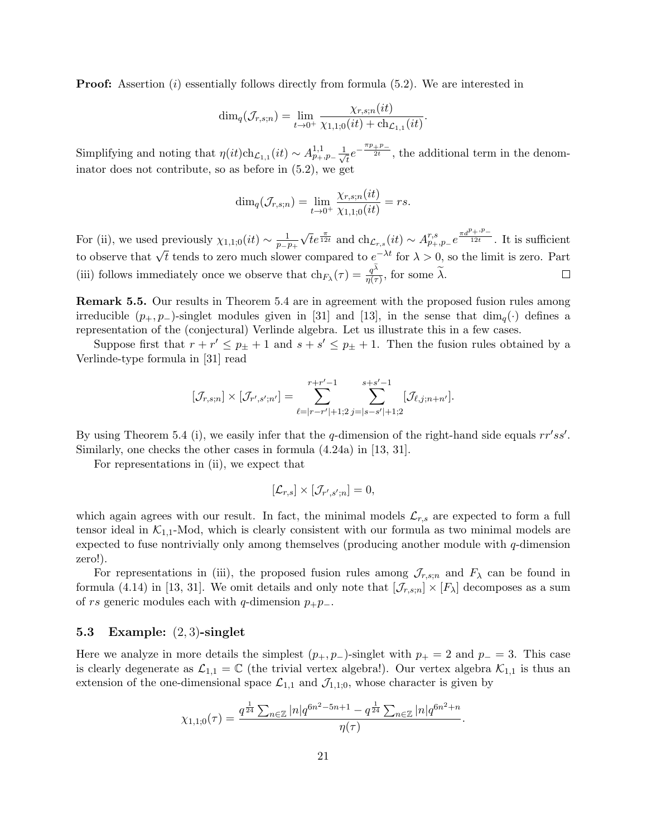**Proof:** Assertion  $(i)$  essentially follows directly from formula  $(5.2)$ . We are interested in

$$
\dim_q(\mathcal{J}_{r,s;n}) = \lim_{t \to 0^+} \frac{\chi_{r,s;n}(it)}{\chi_{1,1;0}(it) + \text{ch}_{\mathcal{L}_{1,1}}(it)}.
$$

Simplifying and noting that  $\eta(it)ch_{\mathcal{L}_{1,1}}(it) \sim A_{p_+,p_-}^{1,1} \frac{1}{\sqrt{n}}$  $\frac{1}{\overline{t}}e^{-\frac{\pi p_+ p_-}{2t}}$ , the additional term in the denominator does not contribute, so as before in (5.2), we get

$$
\dim_q(\mathcal{J}_{r,s;n}) = \lim_{t \to 0^+} \frac{\chi_{r,s;n}(it)}{\chi_{1,1;0}(it)} = rs.
$$

√  $\overline{t}e^{\frac{\pi}{12t}}$  and  $\mathrm{ch}_{\mathcal{L}_{r,s}}(it) \sim A^{r,s}_{p_+,p_-}e^{\frac{\pi d^{p_+,p_-}}{12t}}$ . It is sufficient For (ii), we used previously  $\chi_{1,1;0}(it) \sim \frac{1}{n-1}$  $\overline{p_-\overline{p_+}}$ to observe that <sup>√</sup> t tends to zero much slower compared to e <sup>−</sup>λt for λ > 0, so the limit is zero. Part (iii) follows immediately once we observe that  $\ch_{F_{\lambda}}(\tau) = \frac{q^{\lambda}}{\eta(\tau)}$  $\frac{q^{\prime\prime}}{\eta(\tau)}$ , for some  $\lambda$ .  $\Box$ 

Remark 5.5. Our results in Theorem 5.4 are in agreement with the proposed fusion rules among irreducible  $(p_+, p_-)$ -singlet modules given in [31] and [13], in the sense that  $\dim_q(\cdot)$  defines a representation of the (conjectural) Verlinde algebra. Let us illustrate this in a few cases.

Suppose first that  $r + r' \leq p_{\pm} + 1$  and  $s + s' \leq p_{\pm} + 1$ . Then the fusion rules obtained by a Verlinde-type formula in [31] read

$$
[\mathcal{J}_{r,s;n}] \times [\mathcal{J}_{r',s';n'}] = \sum_{\ell=|r-r'|+1;2}^{r+r'-1} \sum_{j=|s-s'|+1;2}^{s+s'-1} [\mathcal{J}_{\ell,j;n+n'}].
$$

By using Theorem 5.4 (i), we easily infer that the q-dimension of the right-hand side equals  $rr'ss'$ . Similarly, one checks the other cases in formula (4.24a) in [13, 31].

For representations in (ii), we expect that

$$
[\mathcal{L}_{r,s}]\times[\mathcal{J}_{r',s';n}]=0,
$$

which again agrees with our result. In fact, the minimal models  $\mathcal{L}_{r,s}$  are expected to form a full tensor ideal in  $K_{1,1}$ -Mod, which is clearly consistent with our formula as two minimal models are expected to fuse nontrivially only among themselves (producing another module with  $q$ -dimension zero!).

For representations in (iii), the proposed fusion rules among  $\mathcal{J}_{r,s;n}$  and  $F_\lambda$  can be found in formula (4.14) in [13, 31]. We omit details and only note that  $[\mathcal{J}_{r,s;n}] \times [F_\lambda]$  decomposes as a sum of rs generic modules each with q-dimension  $p_+p_-$ .

#### 5.3 Example: (2, 3)-singlet

Here we analyze in more details the simplest  $(p_+, p_-)$ -singlet with  $p_+ = 2$  and  $p_- = 3$ . This case is clearly degenerate as  $\mathcal{L}_{1,1} = \mathbb{C}$  (the trivial vertex algebra!). Our vertex algebra  $\mathcal{K}_{1,1}$  is thus an extension of the one-dimensional space  $\mathcal{L}_{1,1}$  and  $\mathcal{J}_{1,1;0}$ , whose character is given by

$$
\chi_{1,1;0}(\tau) = \frac{q^{\frac{1}{24}} \sum_{n \in \mathbb{Z}} |n| q^{6n^2 - 5n + 1} - q^{\frac{1}{24}} \sum_{n \in \mathbb{Z}} |n| q^{6n^2 + n}}{\eta(\tau)}.
$$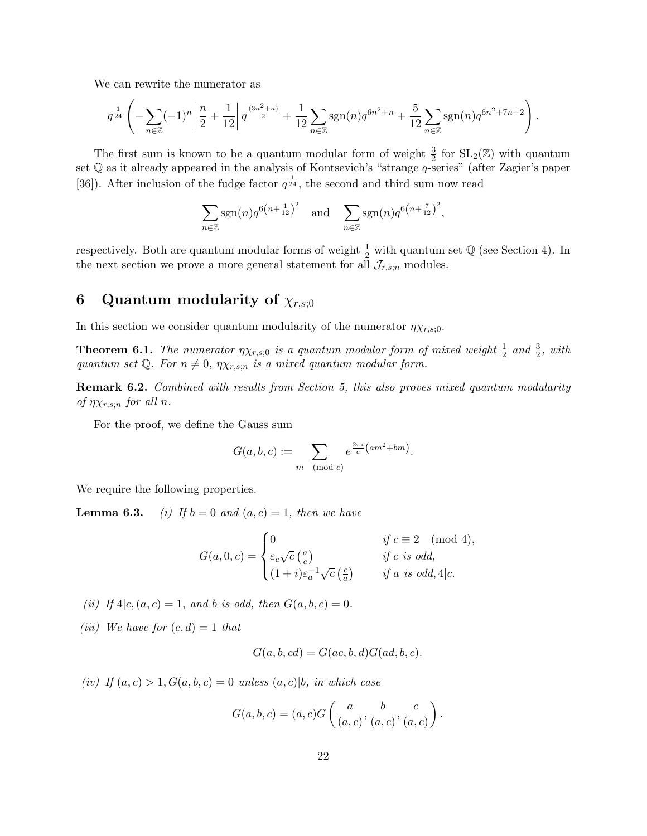We can rewrite the numerator as

$$
q^{\frac{1}{24}}\left(-\sum_{n\in\mathbb{Z}}(-1)^n\left|\frac{n}{2}+\frac{1}{12}\right|q^{\frac{(3n^2+n)}{2}}+\frac{1}{12}\sum_{n\in\mathbb{Z}}\text{sgn}(n)q^{6n^2+n}+\frac{5}{12}\sum_{n\in\mathbb{Z}}\text{sgn}(n)q^{6n^2+7n+2}\right).
$$

The first sum is known to be a quantum modular form of weight  $\frac{3}{2}$  for  $SL_2(\mathbb{Z})$  with quantum set Q as it already appeared in the analysis of Kontsevich's "strange q-series" (after Zagier's paper [36]). After inclusion of the fudge factor  $q^{\frac{1}{24}}$ , the second and third sum now read

$$
\sum_{n\in\mathbb{Z}}\operatorname{sgn}(n)q^{6\left(n+\frac{1}{12}\right)^2} \quad \text{and} \quad \sum_{n\in\mathbb{Z}}\operatorname{sgn}(n)q^{6\left(n+\frac{7}{12}\right)^2},
$$

respectively. Both are quantum modular forms of weight  $\frac{1}{2}$  with quantum set  $\mathbb Q$  (see Section 4). In the next section we prove a more general statement for all  $\mathcal{J}_{r,s;n}$  modules.

# 6 Quantum modularity of  $\chi_{r,s;0}$

In this section we consider quantum modularity of the numerator  $\eta \chi_{r,s;0}$ .

**Theorem 6.1.** The numerator  $\eta \chi_{r,s;0}$  is a quantum modular form of mixed weight  $\frac{1}{2}$  and  $\frac{3}{2}$ , with quantum set Q. For  $n \neq 0$ ,  $\eta \chi_{r,s;n}$  is a mixed quantum modular form.

**Remark 6.2.** Combined with results from Section 5, this also proves mixed quantum modularity of  $\eta \chi_{r,s;n}$  for all n.

For the proof, we define the Gauss sum

$$
G(a, b, c) := \sum_{m \pmod{c}} e^{\frac{2\pi i}{c} (am^2 + bm)}.
$$

We require the following properties.

**Lemma 6.3.** (i) If  $b = 0$  and  $(a, c) = 1$ , then we have

$$
G(a, 0, c) = \begin{cases} 0 & \text{if } c \equiv 2 \pmod{4}, \\ \varepsilon_c \sqrt{c} \left(\frac{a}{c}\right) & \text{if } c \text{ is odd}, \\ (1+i)\varepsilon_a^{-1} \sqrt{c} \left(\frac{c}{a}\right) & \text{if } a \text{ is odd}, 4|c. \end{cases}
$$

(ii) If  $4|c,(a, c) = 1$ , and b is odd, then  $G(a, b, c) = 0$ .

(*iii*) We have for  $(c, d) = 1$  that

$$
G(a, b, cd) = G(ac, b, d)G(ad, b, c).
$$

(iv) If  $(a, c) > 1$ ,  $G(a, b, c) = 0$  unless  $(a, c)$ , in which case

$$
G(a,b,c) = (a,c)G\left(\frac{a}{(a,c)}, \frac{b}{(a,c)}, \frac{c}{(a,c)}\right).
$$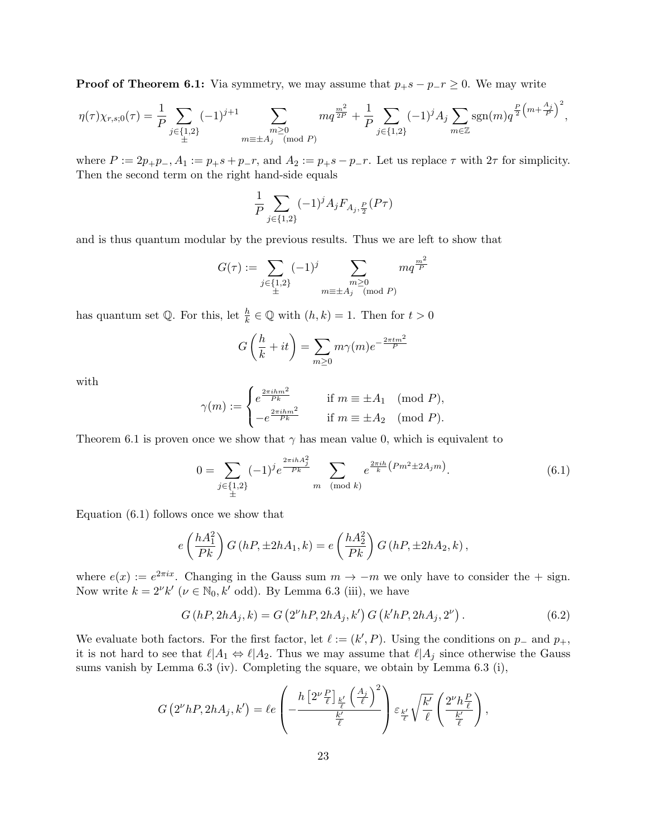**Proof of Theorem 6.1:** Via symmetry, we may assume that  $p_+s - p_-r \geq 0$ . We may write

$$
\eta(\tau)\chi_{r,s;0}(\tau) = \frac{1}{P} \sum_{\substack{j \in \{1,2\} \\ \pm}} (-1)^{j+1} \sum_{\substack{m \ge 0 \\ m \equiv \pm A_j \pmod{P}}} m q^{\frac{m^2}{2P}} + \frac{1}{P} \sum_{j \in \{1,2\}} (-1)^j A_j \sum_{m \in \mathbb{Z}} sgn(m) q^{\frac{P}{2}\left(m + \frac{A_j}{P}\right)^2},
$$

where  $P := 2p_+p_-, A_1 := p_+s + p_-r$ , and  $A_2 := p_+s - p_-r$ . Let us replace  $\tau$  with  $2\tau$  for simplicity. Then the second term on the right hand-side equals

$$
\frac{1}{P}\sum_{j\in\{1,2\}}(-1)^jA_jF_{A_j,\frac{P}{2}}(P\tau)
$$

and is thus quantum modular by the previous results. Thus we are left to show that

$$
G(\tau) := \sum_{\substack{j \in \{1,2\} \\ \pm}} (-1)^j \sum_{\substack{m \ge 0 \\ m \equiv \pm A_j \pmod{P}}} mq^{\frac{m^2}{P}}
$$

has quantum set  $\mathbb{Q}$ . For this, let  $\frac{h}{k} \in \mathbb{Q}$  with  $(h, k) = 1$ . Then for  $t > 0$ 

$$
G\left(\frac{h}{k} + it\right) = \sum_{m \ge 0} m\gamma(m)e^{-\frac{2\pi tm^2}{P}}
$$

with

$$
\gamma(m) := \begin{cases} e^{\frac{2\pi i h m^2}{P_k}} & \text{if } m \equiv \pm A_1 \pmod{P}, \\ -e^{\frac{2\pi i h m^2}{P_k}} & \text{if } m \equiv \pm A_2 \pmod{P}. \end{cases}
$$

Theorem 6.1 is proven once we show that  $\gamma$  has mean value 0, which is equivalent to

$$
0 = \sum_{\substack{j \in \{1,2\} \\ \pm}} (-1)^j e^{\frac{2\pi i h A_j^2}{P_k}} \sum_{m \pmod{k}} e^{\frac{2\pi i h}{k} \left( P m^2 \pm 2A_j m \right)}. \tag{6.1}
$$

Equation (6.1) follows once we show that

$$
e\left(\frac{hA_1^2}{Pk}\right)G\left(hP,\pm 2hA_1,k\right)=e\left(\frac{hA_2^2}{Pk}\right)G\left(hP,\pm 2hA_2,k\right),
$$

where  $e(x) := e^{2\pi ix}$ . Changing in the Gauss sum  $m \to -m$  we only have to consider the  $+$  sign. Now write  $k = 2^{\nu} k' \ (\nu \in \mathbb{N}_0, k' \text{ odd})$ . By Lemma 6.3 (iii), we have

$$
G(hP, 2hA_j, k) = G(2^{\nu}hP, 2hA_j, k') G(k'hP, 2hA_j, 2^{\nu}).
$$
\n(6.2)

We evaluate both factors. For the first factor, let  $\ell := (k', P)$ . Using the conditions on  $p_-\$  and  $p_+$ , it is not hard to see that  $\ell|A_1 \Leftrightarrow \ell|A_2$ . Thus we may assume that  $\ell|A_j$  since otherwise the Gauss sums vanish by Lemma  $6.3$  (iv). Completing the square, we obtain by Lemma  $6.3$  (i),

$$
G\left(2^{\nu}hP,2hA_j,k'\right)=\ell e\left(-\frac{h\left[2^{\nu}\frac{P}{\ell}\right]_{\frac{k'}{\ell}}\left(\frac{A_j}{\ell}\right)^2}{\frac{k'}{\ell}}\right)\varepsilon_{\frac{k'}{\ell}}\sqrt{\frac{k'}{\ell}}\left(\frac{2^{\nu}h\frac{P}{\ell}}{\frac{k'}{\ell}}\right),
$$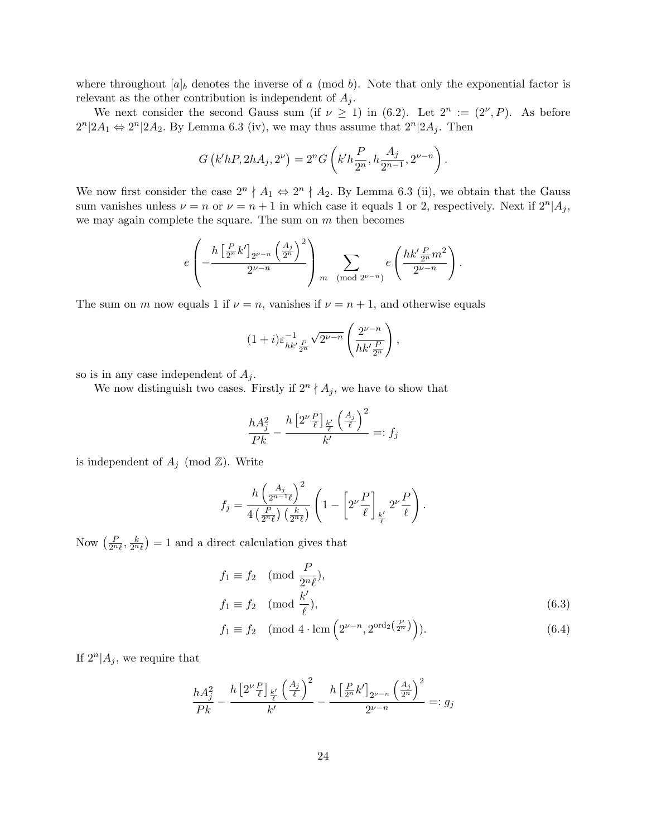where throughout  $[a]_b$  denotes the inverse of a (mod b). Note that only the exponential factor is relevant as the other contribution is independent of  $A_i$ .

We next consider the second Gauss sum (if  $\nu \geq 1$ ) in (6.2). Let  $2^n := (2^{\nu}, P)$ . As before  $2^{n}|2A_1 \Leftrightarrow 2^{n}|2A_2$ . By Lemma 6.3 (iv), we may thus assume that  $2^{n}|2A_j$ . Then

$$
G(k'hP, 2hA_j, 2^{\nu}) = 2^n G\left(k'h\frac{P}{2^n}, h\frac{A_j}{2^{n-1}}, 2^{\nu - n}\right).
$$

We now first consider the case  $2^n \nmid A_1 \Leftrightarrow 2^n \nmid A_2$ . By Lemma 6.3 (ii), we obtain that the Gauss sum vanishes unless  $\nu = n$  or  $\nu = n + 1$  in which case it equals 1 or 2, respectively. Next if  $2^n | A_j$ , we may again complete the square. The sum on  $m$  then becomes

$$
e\left(-\frac{h\left[\frac{P}{2^n}k'\right]_{2^{\nu-n}}\left(\frac{A_j}{2^n}\right)^2}{2^{\nu-n}}\right)_{m\pmod{2^{\nu-n}}}e\left(\frac{hk'\frac{P}{2^n}m^2}{2^{\nu-n}}\right).
$$

The sum on m now equals 1 if  $\nu = n$ , vanishes if  $\nu = n + 1$ , and otherwise equals

$$
(1+i)\varepsilon_{hk'\frac{P}{2^n}}^{-1}\sqrt{2^{\nu-n}}\left(\frac{2^{\nu-n}}{hk'\frac{P}{2^n}}\right),\,
$$

so is in any case independent of  $A_j$ .

We now distinguish two cases. Firstly if  $2^n \nmid A_j$ , we have to show that

$$
\frac{hA_j^2}{Pk} - \frac{h\left[2^{\nu}\frac{P}{\ell}\right]_{\frac{k'}{\ell}}\left(\frac{A_j}{\ell}\right)^2}{k'} =: f_j
$$

is independent of  $A_j \pmod{\mathbb{Z} }$ . Write

$$
f_j = \frac{h\left(\frac{A_j}{2^{n-1}\ell}\right)^2}{4\left(\frac{P}{2^n\ell}\right)\left(\frac{k}{2^n\ell}\right)} \left(1 - \left[2^{\nu}\frac{P}{\ell}\right]_{\frac{k'}{\ell}} 2^{\nu}\frac{P}{\ell}\right).
$$

Now  $\left(\frac{P}{2^n\ell}, \frac{k}{2^n\ell}\right) = 1$  and a direct calculation gives that

$$
f_1 \equiv f_2 \pmod{\frac{P}{2^n \ell}},
$$
  
\n
$$
f_1 \equiv f_2 \pmod{\frac{k'}{\ell}},
$$
\n(6.3)

$$
f_1 \equiv f_2 \pmod{4 \cdot \operatorname{lcm} \left( 2^{\nu - n}, 2^{\operatorname{ord}_2\left(\frac{P}{2^n}\right)} \right)}.
$$
 (6.4)

If  $2^n | A_j$ , we require that

$$
\frac{hA_j^2}{Pk} - \frac{h\left[2^{\nu}\frac{P}{\ell}\right]_{\frac{k'}{\ell}}\left(\frac{A_j}{\ell}\right)^2}{k'} - \frac{h\left[\frac{P}{2^n}k'\right]_{2^{\nu-n}}\left(\frac{A_j}{2^n}\right)^2}{2^{\nu-n}} =: g_j
$$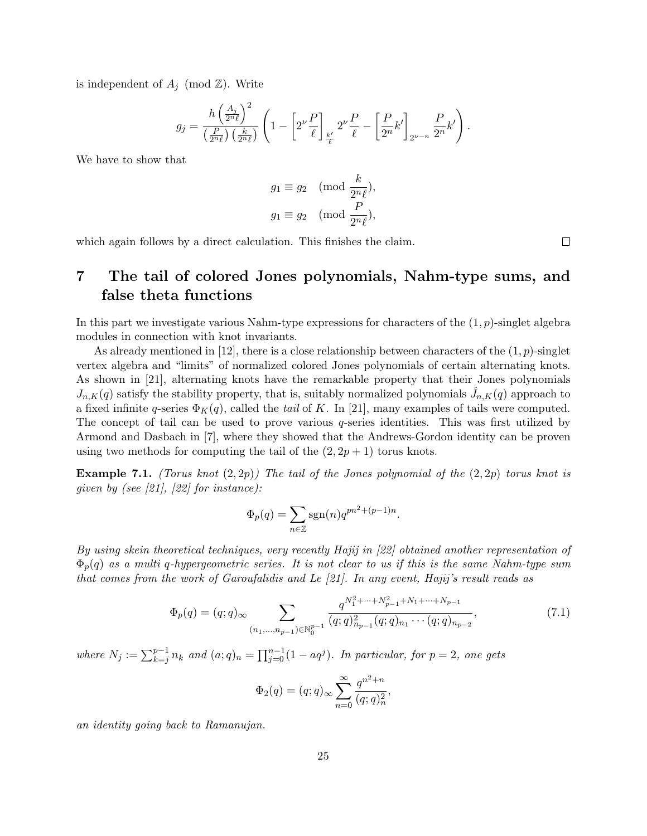is independent of  $A_j \pmod{\mathbb{Z} }$ . Write

$$
g_j=\frac{h\left(\frac{A_j}{2^n\ell}\right)^2}{\left(\frac{P}{2^n\ell}\right)\left(\frac{k}{2^n\ell}\right)}\left(1-\left[2^{\nu}\frac{P}{\ell}\right]_{\frac{k'}{\ell}}2^{\nu}\frac{P}{\ell}-\left[\frac{P}{2^n}k'\right]_{2^{\nu-n}}\frac{P}{2^n}k'\right).
$$

We have to show that

$$
g_1 \equiv g_2 \pmod{\frac{k}{2^n \ell}},
$$
  

$$
g_1 \equiv g_2 \pmod{\frac{P}{2^n \ell}},
$$

which again follows by a direct calculation. This finishes the claim.

# 7 The tail of colored Jones polynomials, Nahm-type sums, and false theta functions

In this part we investigate various Nahm-type expressions for characters of the  $(1, p)$ -singlet algebra modules in connection with knot invariants.

As already mentioned in [12], there is a close relationship between characters of the  $(1, p)$ -singlet vertex algebra and "limits" of normalized colored Jones polynomials of certain alternating knots. As shown in [21], alternating knots have the remarkable property that their Jones polynomials  $J_{n,K}(q)$  satisfy the stability property, that is, suitably normalized polynomials  $\hat{J}_{n,K}(q)$  approach to a fixed infinite q-series  $\Phi_K(q)$ , called the tail of K. In [21], many examples of tails were computed. The concept of tail can be used to prove various  $q$ -series identities. This was first utilized by Armond and Dasbach in [7], where they showed that the Andrews-Gordon identity can be proven using two methods for computing the tail of the  $(2, 2p + 1)$  torus knots.

**Example 7.1.** (Torus knot  $(2, 2p)$ ) The tail of the Jones polynomial of the  $(2, 2p)$  torus knot is given by (see [21], [22] for instance):

$$
\Phi_p(q) = \sum_{n \in \mathbb{Z}} \text{sgn}(n) q^{pn^2 + (p-1)n}.
$$

By using skein theoretical techniques, very recently Hajij in [22] obtained another representation of  $\Phi_p(q)$  as a multi q-hypergeometric series. It is not clear to us if this is the same Nahm-type sum that comes from the work of Garoufalidis and Le  $[21]$ . In any event, Hajij's result reads as

$$
\Phi_p(q) = (q;q)_{\infty} \sum_{(n_1,\dots,n_{p-1}) \in \mathbb{N}_0^{p-1}} \frac{q^{N_1^2 + \dots + N_{p-1}^2 + N_1 + \dots + N_{p-1}}}{(q;q)_{n_{p-1}}^2 (q;q)_{n_1} \cdots (q;q)_{n_{p-2}}},
$$
\n(7.1)

,

where  $N_j := \sum_{k=j}^{p-1} n_k$  and  $(a;q)_n = \prod_{j=0}^{n-1} (1 - aq^j)$ . In particular, for  $p = 2$ , one gets

$$
\Phi_2(q) = (q;q)_{\infty} \sum_{n=0}^{\infty} \frac{q^{n^2+n}}{(q;q)_n^2}
$$

an identity going back to Ramanujan.

 $\Box$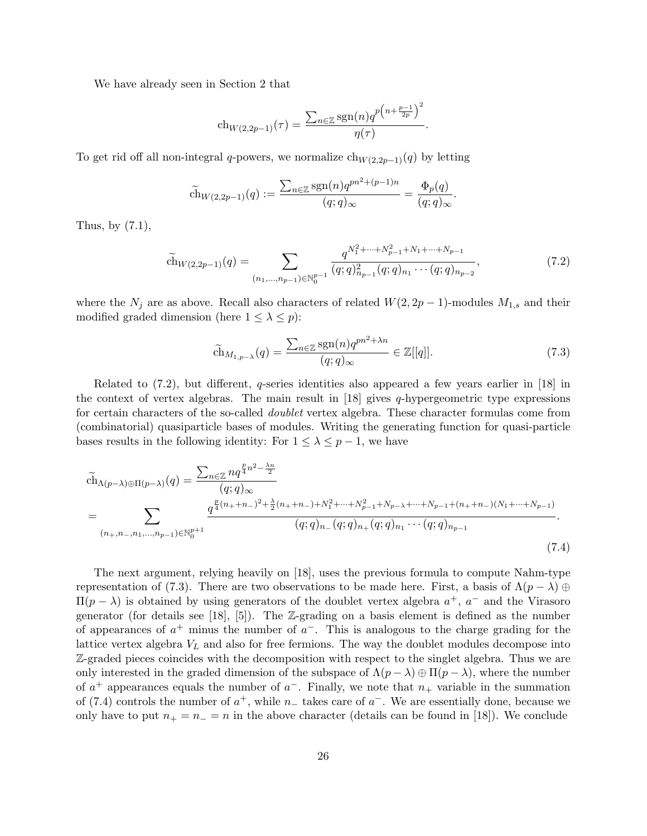We have already seen in Section 2 that

$$
ch_{W(2,2p-1)}(\tau) = \frac{\sum_{n \in \mathbb{Z}} sgn(n) q^{p(n + \frac{p-1}{2p})^2}}{\eta(\tau)}.
$$

To get rid off all non-integral q-powers, we normalize  $ch_{W(2,2p-1)}(q)$  by letting

$$
\widetilde{\operatorname{ch}}_{W(2,2p-1)}(q) := \frac{\sum_{n \in \mathbb{Z}} \operatorname{sgn}(n) q^{pn^2 + (p-1)n}}{(q;q)_{\infty}} = \frac{\Phi_p(q)}{(q;q)_{\infty}}.
$$

Thus, by  $(7.1)$ ,

$$
\widetilde{\text{ch}}_{W(2,2p-1)}(q) = \sum_{(n_1,\ldots,n_{p-1}) \in \mathbb{N}_0^{p-1}} \frac{q^{N_1^2 + \cdots + N_{p-1}^2 + N_1 + \cdots + N_{p-1}}}{(q;q)_{n_{p-1}}^2 (q;q)_{n_1} \cdots (q;q)_{n_{p-2}}},\tag{7.2}
$$

where the  $N_j$  are as above. Recall also characters of related  $W(2, 2p-1)$ -modules  $M_{1,s}$  and their modified graded dimension (here  $1 \leq \lambda \leq p$ ):

$$
\widetilde{\text{ch}}_{M_{1,p-\lambda}}(q) = \frac{\sum_{n \in \mathbb{Z}} \text{sgn}(n) q^{pn^2 + \lambda n}}{(q; q)_{\infty}} \in \mathbb{Z}[[q]].
$$
\n(7.3)

Related to  $(7.2)$ , but different, q-series identities also appeared a few years earlier in [18] in the context of vertex algebras. The main result in  $[18]$  gives q-hypergeometric type expressions for certain characters of the so-called doublet vertex algebra. These character formulas come from (combinatorial) quasiparticle bases of modules. Writing the generating function for quasi-particle bases results in the following identity: For  $1 \leq \lambda \leq p-1$ , we have

$$
\tilde{ch}_{\Lambda(p-\lambda)\oplus\Pi(p-\lambda)}(q) = \frac{\sum_{n\in\mathbb{Z}} nq^{\frac{p}{4}n^2 - \frac{\lambda n}{2}}}{(q;q)_{\infty}} \\
= \sum_{(n_+,n_-,n_1,...,n_{p-1})\in\mathbb{N}_0^{p+1}} \frac{q^{\frac{p}{4}(n_+,n_-,n_+) + \lambda_1^2 + \dots + \lambda_{p-1}^2 + N_{p-1} + N_{p-1} + (n_+,n_+) + (N_1+...+N_{p-1}) + (N_1+...+N_{p-1}) + (N_1+...+N_{p-1}) + (N_1+...+N_{p-1}) + (N_1+...+N_{p-1}) + (N_1+...+N_{p-1}) + (N_1+...+N_{p-1}) + (N_1+...+N_{p-1}) + (N_1+...+N_{p-1}) + (N_1+...+N_{p-1}) + (N_1+...+N_{p-1}) + (N_1+...+N_{p-1}) + (N_1+...+N_{p-1}) + (N_1+...+N_{p-1}) + (N_1+...+N_{p-1}) + (N_1+...+N_{p-1}) + (N_1+...+N_{p-1}) + (N_1+...+N_{p-1}) + (N_1+...+N_{p-1}) + (N_1+...+N_{p-1}) + (N_1+...+N_{p-1}) + (N_1+...+N_{p-1}) + (N_1+...+N_{p-1}) + (N_1+...+N_{p-1}) + (N_1+...+N_{p-1}) + (N_1+...+N_{p-1}) + (N_1+...+N_{p-1}) + (N_1+...+N_{p-1}) + (N_1+...+N_{p-1}) + (N_1+...+N_{p-1}) + (N_1+...+N_{p-1}) + (N_1+...+N_{p-1}) + (N_1+...+N_{p-1}) + (N_1+...+N_{p-1}) + (N_1+...+N_{p-1}) + (N_1+...+N_{p-1}) + (N_1+...+N_{p-1}) + (N_1+...+N_{p-1}) + (N_1+...+N_{p-1}) + (N_1+...+N_{p-1}) + (N_1+...+N_{p-1}) + (N_1+...+N_{p-1}) + (
$$

The next argument, relying heavily on [18], uses the previous formula to compute Nahm-type representation of (7.3). There are two observations to be made here. First, a basis of  $\Lambda(p - \lambda) \oplus$  $\Pi(p - \lambda)$  is obtained by using generators of the doublet vertex algebra  $a^+$ ,  $a^-$  and the Virasoro generator (for details see [18], [5]). The Z-grading on a basis element is defined as the number of appearances of  $a^+$  minus the number of  $a^-$ . This is analogous to the charge grading for the lattice vertex algebra  $V<sub>L</sub>$  and also for free fermions. The way the doublet modules decompose into Z-graded pieces coincides with the decomposition with respect to the singlet algebra. Thus we are only interested in the graded dimension of the subspace of  $\Lambda(p - \lambda) \oplus \Pi(p - \lambda)$ , where the number of  $a^+$  appearances equals the number of  $a^-$ . Finally, we note that  $n_+$  variable in the summation of (7.4) controls the number of  $a^+$ , while  $n_$  takes care of  $a^-$ . We are essentially done, because we only have to put  $n_+ = n_- = n$  in the above character (details can be found in [18]). We conclude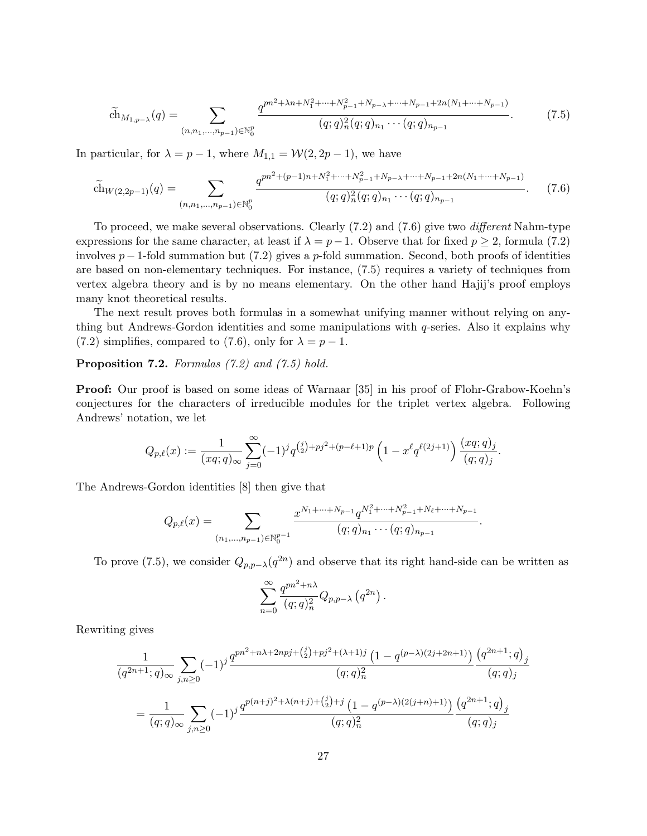$$
\widetilde{\text{ch}}_{M_{1,p-\lambda}}(q) = \sum_{(n,n_1,\dots,n_{p-1}) \in \mathbb{N}_0^p} \frac{q^{pn^2 + \lambda n + N_1^2 + \dots + N_{p-1}^2 + N_{p-\lambda} + \dots + N_{p-1} + 2n(N_1 + \dots + N_{p-1})}}{(q;q)_n^2 (q;q)_{n_1} \cdots (q;q)_{n_{p-1}}}.
$$
\n(7.5)

In particular, for  $\lambda = p - 1$ , where  $M_{1,1} = \mathcal{W}(2, 2p - 1)$ , we have

$$
\widetilde{\text{ch}}_{W(2,2p-1)}(q) = \sum_{(n,n_1,\dots,n_{p-1}) \in \mathbb{N}_0^p} \frac{q^{pn^2 + (p-1)n + N_1^2 + \dots + N_{p-1}^2 + N_{p-\lambda} + \dots + N_{p-1} + 2n(N_1 + \dots + N_{p-1})}}{(q;q)_n^2 (q;q)_{n_1} \cdots (q;q)_{n_{p-1}}}.
$$
(7.6)

To proceed, we make several observations. Clearly (7.2) and (7.6) give two different Nahm-type expressions for the same character, at least if  $\lambda = p-1$ . Observe that for fixed  $p \ge 2$ , formula (7.2) involves  $p-1$ -fold summation but (7.2) gives a p-fold summation. Second, both proofs of identities are based on non-elementary techniques. For instance, (7.5) requires a variety of techniques from vertex algebra theory and is by no means elementary. On the other hand Hajij's proof employs many knot theoretical results.

The next result proves both formulas in a somewhat unifying manner without relying on anything but Andrews-Gordon identities and some manipulations with  $q$ -series. Also it explains why (7.2) simplifies, compared to (7.6), only for  $\lambda = p - 1$ .

Proposition 7.2. Formulas (7.2) and (7.5) hold.

Proof: Our proof is based on some ideas of Warnaar [35] in his proof of Flohr-Grabow-Koehn's conjectures for the characters of irreducible modules for the triplet vertex algebra. Following Andrews' notation, we let

$$
Q_{p,\ell}(x) := \frac{1}{(xq;q)_{\infty}} \sum_{j=0}^{\infty} (-1)^j q^{\binom{j}{2} + pj^2 + (p-\ell+1)p} \left(1 - x^{\ell} q^{\ell(2j+1)}\right) \frac{(xq;q)_j}{(q;q)_j}.
$$

The Andrews-Gordon identities [8] then give that

$$
Q_{p,\ell}(x) = \sum_{(n_1,\ldots,n_{p-1})\in\mathbb{N}_0^{p-1}} \frac{x^{N_1+\cdots+N_{p-1}}q^{N_1^2+\cdots+N_{p-1}^2+N_{\ell}+\cdots+N_{p-1}}}{(q;q)_{n_1}\cdots(q;q)_{n_{p-1}}}.
$$

To prove (7.5), we consider  $Q_{p,p-\lambda}(q^{2n})$  and observe that its right hand-side can be written as

$$
\sum_{n=0}^{\infty} \frac{q^{pn^2+n\lambda}}{(q;q)_n^2} Q_{p,p-\lambda} (q^{2n}).
$$

Rewriting gives

$$
\frac{1}{(q^{2n+1};q)_{\infty}} \sum_{j,n\geq 0} (-1)^j \frac{q^{pn^2+n\lambda+2npj+\binom{j}{2}+pj^2+(\lambda+1)j} \left(1-q^{(p-\lambda)(2j+2n+1)}\right)}{\binom{q;q^2_n}{(q;q)_j}} \frac{\binom{q^{2n+1};q)_j}{(q;q)_j}}{\binom{q;q)_j}{(q;q)_j}}
$$
\n
$$
= \frac{1}{(q;q)_{\infty}} \sum_{j,n\geq 0} (-1)^j \frac{q^{p(n+j)^2+\lambda(n+j)+\binom{j}{2}+j} \left(1-q^{(p-\lambda)(2(j+n)+1)}\right)}{\binom{q;q)_n^2}{(q;q)_j}} \frac{\binom{q^{2n+1};q)_j}{(q;q)_j}}{\binom{q;q)_j}
$$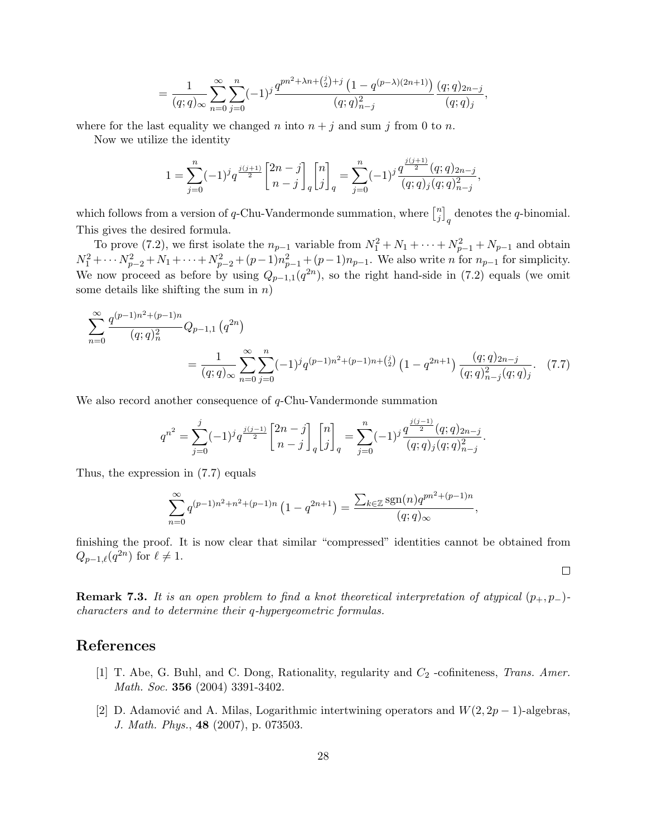$$
= \frac{1}{(q;q)_{\infty}} \sum_{n=0}^{\infty} \sum_{j=0}^{n} (-1)^{j} \frac{q^{pn^{2} + \lambda n + {j \choose 2} + j} \left(1 - q^{(p-\lambda)(2n+1)}\right)}{(q;q)_{n-j}^{2}} \frac{(q;q)_{2n-j}}{(q;q)_{j}},
$$

where for the last equality we changed n into  $n + j$  and sum j from 0 to n.

Now we utilize the identity

$$
1 = \sum_{j=0}^{n} (-1)^j q^{\frac{j(j+1)}{2}} {2n-j \brack n-j}_{q} {n \brack j}_{q} = \sum_{j=0}^{n} (-1)^j \frac{q^{\frac{j(j+1)}{2}}(q;q)_{2n-j}}{(q;q)_j (q;q)_{n-j}^2},
$$

which follows from a version of q-Chu-Vandermonde summation, where  $\begin{bmatrix} n \\ i \end{bmatrix}$  $\binom{n}{j}_q$  denotes the q-binomial. This gives the desired formula.

To prove (7.2), we first isolate the  $n_{p-1}$  variable from  $N_1^2 + N_1 + \cdots + N_{p-1}^2 + N_{p-1}$  and obtain  $N_1^2 + \cdots N_{p-2}^2 + N_1 + \cdots + N_{p-2}^2 + (p-1)n_{p-1}^2 + (p-1)n_{p-1}$ . We also write n for  $n_{p-1}$  for simplicity. We now proceed as before by using  $Q_{p-1,1}(q^{2n})$ , so the right hand-side in (7.2) equals (we omit some details like shifting the sum in  $n$ )

$$
\sum_{n=0}^{\infty} \frac{q^{(p-1)n^2 + (p-1)n}}{(q;q)_n^2} Q_{p-1,1} (q^{2n})
$$
  
= 
$$
\frac{1}{(q;q)_{\infty}} \sum_{n=0}^{\infty} \sum_{j=0}^n (-1)^j q^{(p-1)n^2 + (p-1)n + {j \choose 2}} (1 - q^{2n+1}) \frac{(q;q)_{2n-j}}{(q;q)_{n-j}^2 (q;q)_j}.
$$
 (7.7)

We also record another consequence of q-Chu-Vandermonde summation

$$
q^{n^2} = \sum_{j=0}^j (-1)^j q^{\frac{j(j-1)}{2}} {2n-j \brack n-j}_{q} {n \brack j}_q = \sum_{j=0}^n (-1)^j \frac{q^{\frac{j(j-1)}{2}}(q;q)_{2n-j}}{(q;q)_j (q;q)_{n-j}^2}.
$$

Thus, the expression in (7.7) equals

$$
\sum_{n=0}^{\infty} q^{(p-1)n^2 + n^2 + (p-1)n} \left( 1 - q^{2n+1} \right) = \frac{\sum_{k \in \mathbb{Z}} \text{sgn}(n) q^{pn^2 + (p-1)n}}{(q;q)_{\infty}},
$$

finishing the proof. It is now clear that similar "compressed" identities cannot be obtained from  $Q_{p-1,\ell}(q^{2n})$  for  $\ell \neq 1$ .

 $\Box$ 

**Remark 7.3.** It is an open problem to find a knot theoretical interpretation of atypical  $(p_+, p_-)$ characters and to determine their q-hypergeometric formulas.

## References

- [1] T. Abe, G. Buhl, and C. Dong, Rationality, regularity and  $C_2$  -cofiniteness, Trans. Amer. Math. Soc. 356 (2004) 3391-3402.
- [2] D. Adamović and A. Milas, Logarithmic intertwining operators and  $W(2, 2p 1)$ -algebras, J. Math. Phys., 48 (2007), p. 073503.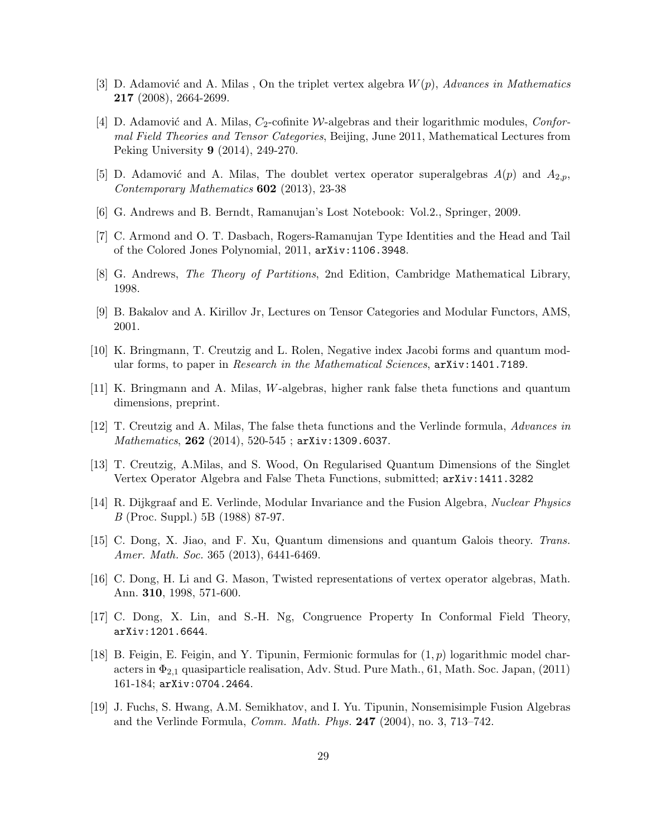- [3] D. Adamović and A. Milas, On the triplet vertex algebra  $W(p)$ , Advances in Mathematics 217 (2008), 2664-2699.
- [4] D. Adamović and A. Milas,  $C_2$ -cofinite W-algebras and their logarithmic modules, Conformal Field Theories and Tensor Categories, Beijing, June 2011, Mathematical Lectures from Peking University 9 (2014), 249-270.
- [5] D. Adamović and A. Milas, The doublet vertex operator superalgebras  $A(p)$  and  $A_{2,p}$ , Contemporary Mathematics 602 (2013), 23-38
- [6] G. Andrews and B. Berndt, Ramanujan's Lost Notebook: Vol.2., Springer, 2009.
- [7] C. Armond and O. T. Dasbach, Rogers-Ramanujan Type Identities and the Head and Tail of the Colored Jones Polynomial, 2011, arXiv:1106.3948.
- [8] G. Andrews, The Theory of Partitions, 2nd Edition, Cambridge Mathematical Library, 1998.
- [9] B. Bakalov and A. Kirillov Jr, Lectures on Tensor Categories and Modular Functors, AMS, 2001.
- [10] K. Bringmann, T. Creutzig and L. Rolen, Negative index Jacobi forms and quantum modular forms, to paper in Research in the Mathematical Sciences,  $arXiv:1401.7189$ .
- [11] K. Bringmann and A. Milas, W-algebras, higher rank false theta functions and quantum dimensions, preprint.
- [12] T. Creutzig and A. Milas, The false theta functions and the Verlinde formula, Advances in Mathematics, 262 (2014), 520-545; arXiv:1309.6037.
- [13] T. Creutzig, A.Milas, and S. Wood, On Regularised Quantum Dimensions of the Singlet Vertex Operator Algebra and False Theta Functions, submitted; arXiv:1411.3282
- [14] R. Dijkgraaf and E. Verlinde, Modular Invariance and the Fusion Algebra, Nuclear Physics B (Proc. Suppl.) 5B (1988) 87-97.
- [15] C. Dong, X. Jiao, and F. Xu, Quantum dimensions and quantum Galois theory. Trans. Amer. Math. Soc. 365 (2013), 6441-6469.
- [16] C. Dong, H. Li and G. Mason, Twisted representations of vertex operator algebras, Math. Ann. 310, 1998, 571-600.
- [17] C. Dong, X. Lin, and S.-H. Ng, Congruence Property In Conformal Field Theory, arXiv:1201.6644.
- [18] B. Feigin, E. Feigin, and Y. Tipunin, Fermionic formulas for  $(1, p)$  logarithmic model characters in  $\Phi_{2,1}$  quasiparticle realisation, Adv. Stud. Pure Math., 61, Math. Soc. Japan, (2011) 161-184; arXiv:0704.2464.
- [19] J. Fuchs, S. Hwang, A.M. Semikhatov, and I. Yu. Tipunin, Nonsemisimple Fusion Algebras and the Verlinde Formula, Comm. Math. Phys. 247 (2004), no. 3, 713–742.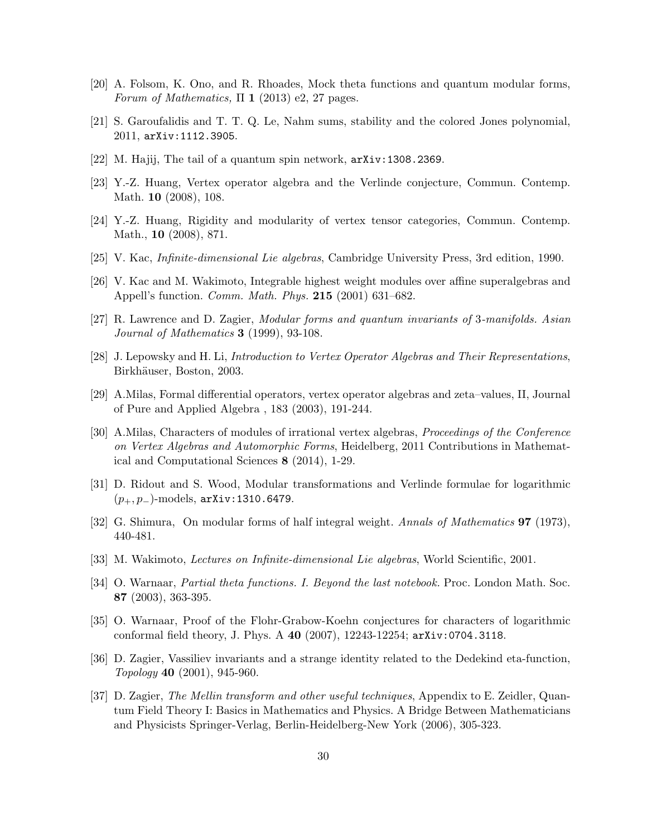- [20] A. Folsom, K. Ono, and R. Rhoades, Mock theta functions and quantum modular forms, Forum of Mathematics,  $\Pi$  1 (2013) e2, 27 pages.
- [21] S. Garoufalidis and T. T. Q. Le, Nahm sums, stability and the colored Jones polynomial, 2011, arXiv:1112.3905.
- [22] M. Hajij, The tail of a quantum spin network, arXiv:1308.2369.
- [23] Y.-Z. Huang, Vertex operator algebra and the Verlinde conjecture, Commun. Contemp. Math. 10 (2008), 108.
- [24] Y.-Z. Huang, Rigidity and modularity of vertex tensor categories, Commun. Contemp. Math., 10 (2008), 871.
- [25] V. Kac, Infinite-dimensional Lie algebras, Cambridge University Press, 3rd edition, 1990.
- [26] V. Kac and M. Wakimoto, Integrable highest weight modules over affine superalgebras and Appell's function. Comm. Math. Phys. 215 (2001) 631–682.
- [27] R. Lawrence and D. Zagier, Modular forms and quantum invariants of 3-manifolds. Asian Journal of Mathematics **3** (1999), 93-108.
- [28] J. Lepowsky and H. Li, Introduction to Vertex Operator Algebras and Their Representations, Birkhäuser, Boston, 2003.
- [29] A.Milas, Formal differential operators, vertex operator algebras and zeta–values, II, Journal of Pure and Applied Algebra , 183 (2003), 191-244.
- [30] A.Milas, Characters of modules of irrational vertex algebras, Proceedings of the Conference on Vertex Algebras and Automorphic Forms, Heidelberg, 2011 Contributions in Mathematical and Computational Sciences 8 (2014), 1-29.
- [31] D. Ridout and S. Wood, Modular transformations and Verlinde formulae for logarithmic (p+, p−)-models, arXiv:1310.6479.
- [32] G. Shimura, On modular forms of half integral weight. Annals of Mathematics **97** (1973), 440-481.
- [33] M. Wakimoto, Lectures on Infinite-dimensional Lie algebras, World Scientific, 2001.
- [34] O. Warnaar, Partial theta functions. I. Beyond the last notebook. Proc. London Math. Soc. 87 (2003), 363-395.
- [35] O. Warnaar, Proof of the Flohr-Grabow-Koehn conjectures for characters of logarithmic conformal field theory, J. Phys. A 40 (2007), 12243-12254; arXiv:0704.3118.
- [36] D. Zagier, Vassiliev invariants and a strange identity related to the Dedekind eta-function, Topology 40 (2001), 945-960.
- [37] D. Zagier, The Mellin transform and other useful techniques, Appendix to E. Zeidler, Quantum Field Theory I: Basics in Mathematics and Physics. A Bridge Between Mathematicians and Physicists Springer-Verlag, Berlin-Heidelberg-New York (2006), 305-323.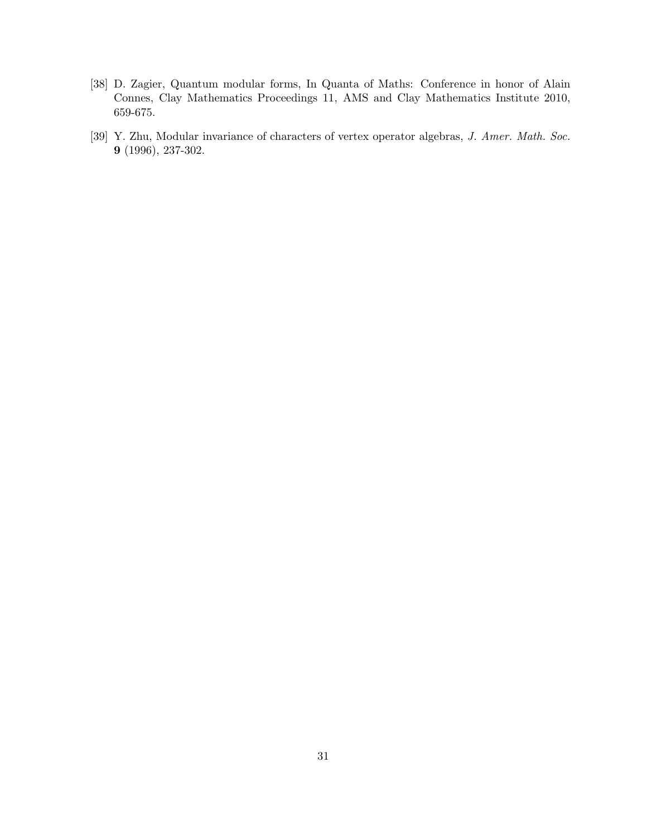- [38] D. Zagier, Quantum modular forms, In Quanta of Maths: Conference in honor of Alain Connes, Clay Mathematics Proceedings 11, AMS and Clay Mathematics Institute 2010, 659-675.
- [39] Y. Zhu, Modular invariance of characters of vertex operator algebras, J. Amer. Math. Soc. 9 (1996), 237-302.